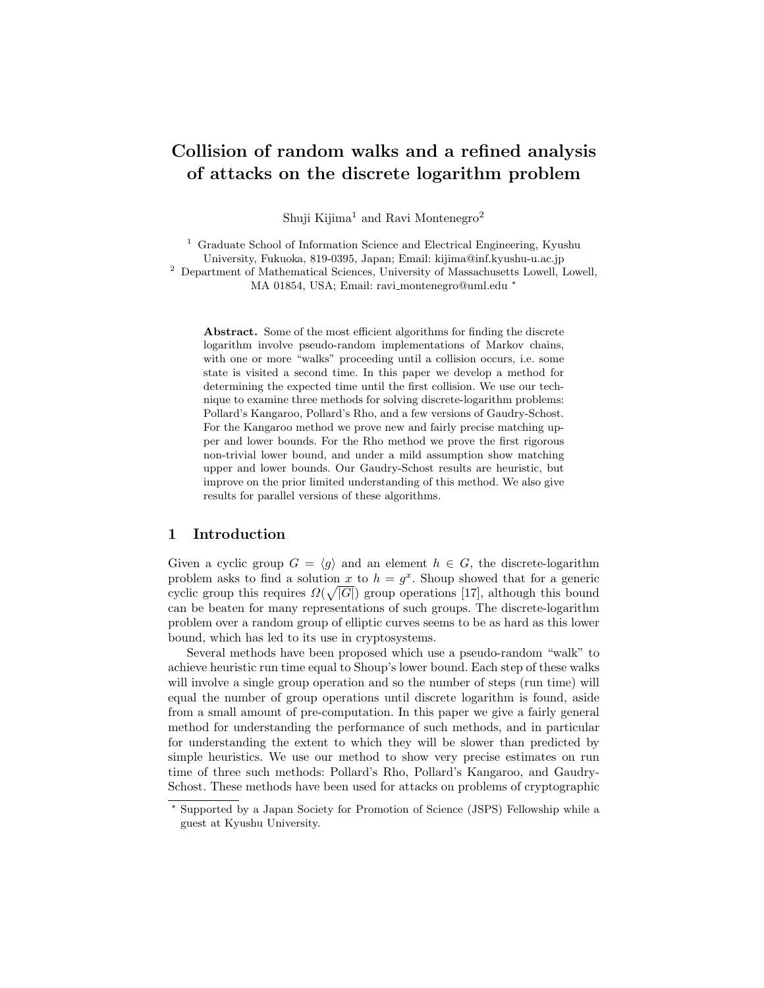# Collision of random walks and a refined analysis of attacks on the discrete logarithm problem

Shuji Kijima<sup>1</sup> and Ravi Montenegro<sup>2</sup>

<sup>1</sup> Graduate School of Information Science and Electrical Engineering, Kyushu University, Fukuoka, 819-0395, Japan; Email: kijima@inf.kyushu-u.ac.jp

<sup>2</sup> Department of Mathematical Sciences, University of Massachusetts Lowell, Lowell,

MA 01854, USA; Email: ravi montenegro@uml.edu ?

Abstract. Some of the most efficient algorithms for finding the discrete logarithm involve pseudo-random implementations of Markov chains, with one or more "walks" proceeding until a collision occurs, i.e. some state is visited a second time. In this paper we develop a method for determining the expected time until the first collision. We use our technique to examine three methods for solving discrete-logarithm problems: Pollard's Kangaroo, Pollard's Rho, and a few versions of Gaudry-Schost. For the Kangaroo method we prove new and fairly precise matching upper and lower bounds. For the Rho method we prove the first rigorous non-trivial lower bound, and under a mild assumption show matching upper and lower bounds. Our Gaudry-Schost results are heuristic, but improve on the prior limited understanding of this method. We also give results for parallel versions of these algorithms.

# 1 Introduction

Given a cyclic group  $G = \langle g \rangle$  and an element  $h \in G$ , the discrete-logarithm problem asks to find a solution x to  $h = g^x$ . Shoup showed that for a generic cyclic group this requires  $\Omega(\sqrt{|G|})$  group operations [17], although this bound can be beaten for many representations of such groups. The discrete-logarithm problem over a random group of elliptic curves seems to be as hard as this lower bound, which has led to its use in cryptosystems.

Several methods have been proposed which use a pseudo-random "walk" to achieve heuristic run time equal to Shoup's lower bound. Each step of these walks will involve a single group operation and so the number of steps (run time) will equal the number of group operations until discrete logarithm is found, aside from a small amount of pre-computation. In this paper we give a fairly general method for understanding the performance of such methods, and in particular for understanding the extent to which they will be slower than predicted by simple heuristics. We use our method to show very precise estimates on run time of three such methods: Pollard's Rho, Pollard's Kangaroo, and Gaudry-Schost. These methods have been used for attacks on problems of cryptographic

<sup>?</sup> Supported by a Japan Society for Promotion of Science (JSPS) Fellowship while a guest at Kyushu University.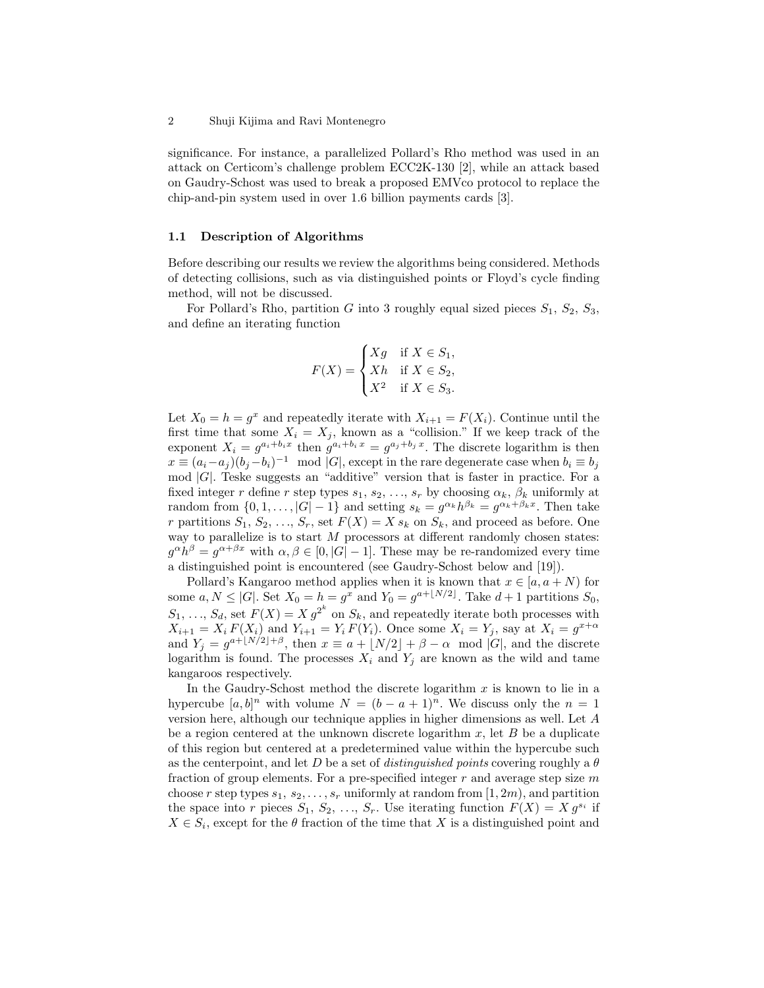significance. For instance, a parallelized Pollard's Rho method was used in an attack on Certicom's challenge problem ECC2K-130 [2], while an attack based on Gaudry-Schost was used to break a proposed EMVco protocol to replace the chip-and-pin system used in over 1.6 billion payments cards [3].

#### 1.1 Description of Algorithms

Before describing our results we review the algorithms being considered. Methods of detecting collisions, such as via distinguished points or Floyd's cycle finding method, will not be discussed.

For Pollard's Rho, partition G into 3 roughly equal sized pieces  $S_1$ ,  $S_2$ ,  $S_3$ , and define an iterating function

$$
F(X) = \begin{cases} Xg & \text{if } X \in S_1, \\ Xh & \text{if } X \in S_2, \\ X^2 & \text{if } X \in S_3. \end{cases}
$$

Let  $X_0 = h = g^x$  and repeatedly iterate with  $X_{i+1} = F(X_i)$ . Continue until the first time that some  $X_i = X_j$ , known as a "collision." If we keep track of the exponent  $X_i = g^{a_i+b_ix}$  then  $g^{a_i+b_ix} = g^{a_j+b_jx}$ . The discrete logarithm is then  $x \equiv (a_i - a_j)(b_j - b_i)^{-1} \mod |G|$ , except in the rare degenerate case when  $b_i \equiv b_j$  $\mod |G|$ . Teske suggests an "additive" version that is faster in practice. For a fixed integer r define r step types  $s_1, s_2, \ldots, s_r$  by choosing  $\alpha_k, \beta_k$  uniformly at random from  $\{0, 1, \ldots, |G| - 1\}$  and setting  $s_k = g^{\alpha_k} h^{\beta_k} = g^{\alpha_k + \beta_k x}$ . Then take r partitions  $S_1, S_2, \ldots, S_r$ , set  $F(X) = X s_k$  on  $S_k$ , and proceed as before. One way to parallelize is to start  $M$  processors at different randomly chosen states:  $g^{\alpha}h^{\beta} = g^{\alpha+\beta x}$  with  $\alpha, \beta \in [0, |G|-1]$ . These may be re-randomized every time a distinguished point is encountered (see Gaudry-Schost below and [19]).

Pollard's Kangaroo method applies when it is known that  $x \in [a, a + N)$  for some  $a, N \leq |G|$ . Set  $X_0 = h = g^x$  and  $Y_0 = g^{a+\lfloor N/2 \rfloor}$ . Take  $d+1$  partitions  $S_0$ ,  $S_1, \ldots, S_d$ , set  $F(X) = X g^{2^k}$  on  $S_k$ , and repeatedly iterate both processes with  $X_{i+1} = X_i F(X_i)$  and  $Y_{i+1} = Y_i F(Y_i)$ . Once some  $X_i = Y_j$ , say at  $X_i = g^{x+\alpha}$ and  $Y_j = g^{a + \lfloor N/2 \rfloor + \beta}$ , then  $x \equiv a + \lfloor N/2 \rfloor + \beta - \alpha \mod |G|$ , and the discrete logarithm is found. The processes  $X_i$  and  $Y_j$  are known as the wild and tame kangaroos respectively.

In the Gaudry-Schost method the discrete logarithm  $x$  is known to lie in a hypercube  $[a, b]^n$  with volume  $N = (b - a + 1)^n$ . We discuss only the  $n = 1$ version here, although our technique applies in higher dimensions as well. Let A be a region centered at the unknown discrete logarithm  $x$ , let  $B$  be a duplicate of this region but centered at a predetermined value within the hypercube such as the centerpoint, and let D be a set of distinguished points covering roughly a  $\theta$ fraction of group elements. For a pre-specified integer  $r$  and average step size  $m$ choose r step types  $s_1, s_2, \ldots, s_r$  uniformly at random from  $[1, 2m)$ , and partition the space into r pieces  $S_1, S_2, ..., S_r$ . Use iterating function  $F(X) = X g^{s_i}$  if  $X \in S_i$ , except for the  $\theta$  fraction of the time that X is a distinguished point and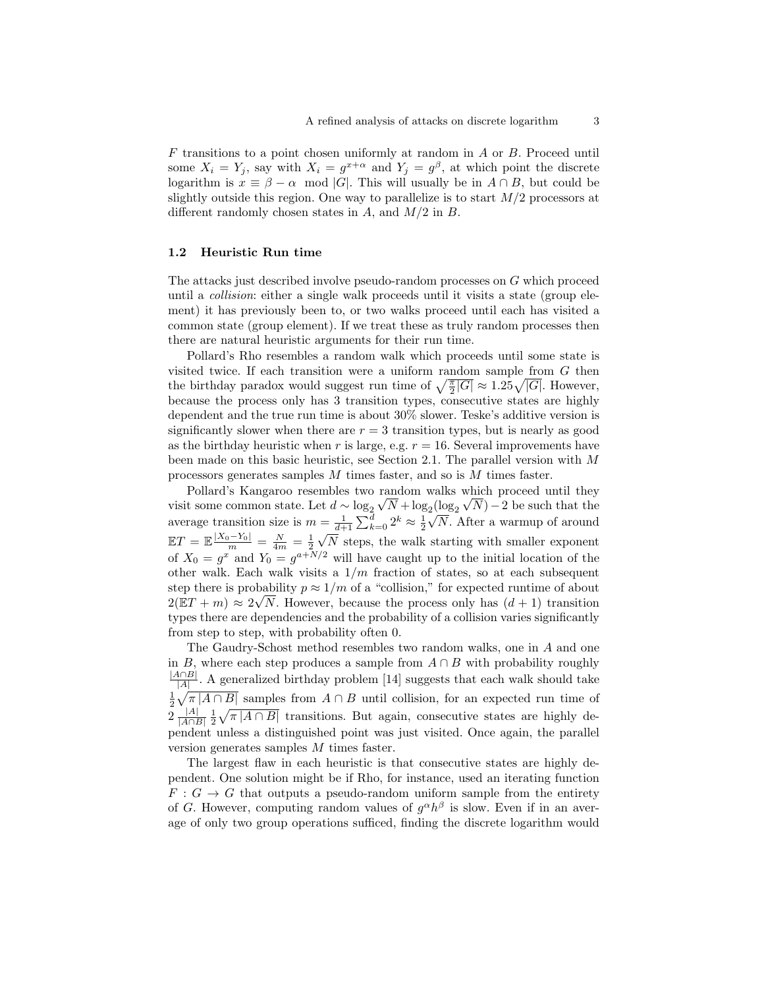F transitions to a point chosen uniformly at random in A or B. Proceed until some  $X_i = Y_j$ , say with  $X_i = g^{x+\alpha}$  and  $Y_j = g^{\beta}$ , at which point the discrete logarithm is  $x \equiv \beta - \alpha \mod |G|$ . This will usually be in  $A \cap B$ , but could be slightly outside this region. One way to parallelize is to start  $M/2$  processors at different randomly chosen states in  $A$ , and  $M/2$  in  $B$ .

### 1.2 Heuristic Run time

The attacks just described involve pseudo-random processes on G which proceed until a collision: either a single walk proceeds until it visits a state (group element) it has previously been to, or two walks proceed until each has visited a common state (group element). If we treat these as truly random processes then there are natural heuristic arguments for their run time.

Pollard's Rho resembles a random walk which proceeds until some state is visited twice. If each transition were a uniform random sample from  $G$  then the birthday paradox would suggest run time of  $\sqrt{\frac{\pi}{2}|G|} \approx 1.25\sqrt{|G|}$ . However, because the process only has 3 transition types, consecutive states are highly dependent and the true run time is about 30% slower. Teske's additive version is significantly slower when there are  $r = 3$  transition types, but is nearly as good as the birthday heuristic when r is large, e.g.  $r = 16$ . Several improvements have been made on this basic heuristic, see Section 2.1. The parallel version with M processors generates samples M times faster, and so is M times faster.

Pollard's Kangaroo resembles two random walks which proceed until they visit some common state. Let  $d \sim \log_2 \sqrt{N} + \log_2 (\log_2 \sqrt{N}) - 2$  be such that the average transition size is  $m = \frac{1}{d+1} \sum_{k=0}^{d} 2^k \approx \frac{1}{2}$ √ N. After a warmup of around  $\mathbb{E}T = \mathbb{E} \frac{|X_0 - Y_0|}{m} = \frac{N}{4m} = \frac{1}{2}$ √ N steps, the walk starting with smaller exponent of  $X_0 = g^x$  and  $Y_0 = g^{a+N/2}$  will have caught up to the initial location of the other walk. Each walk visits a  $1/m$  fraction of states, so at each subsequent step there is probability  $p \approx 1/m$  of a "collision," for expected runtime of about  $2(ET + m) \approx 2\sqrt{N}$ . However, because the process only has  $(d + 1)$  transition types there are dependencies and the probability of a collision varies significantly from step to step, with probability often 0.

The Gaudry-Schost method resembles two random walks, one in A and one in B, where each step produces a sample from  $A \cap B$  with probability roughly  $|A \cap B|$  $\frac{A||B||}{|A|}$ . A generalized birthday problem [14] suggests that each walk should take  $\frac{1}{2}\sqrt{\pi |A\cap B|}$  samples from  $A\cap B$  until collision, for an expected run time of  $2\frac{|A|}{|A\cap B|}$  $\frac{|A|}{|A \cap B|} \frac{1}{2} \sqrt{\pi |A \cap B|}$  transitions. But again, consecutive states are highly dependent unless a distinguished point was just visited. Once again, the parallel version generates samples M times faster.

The largest flaw in each heuristic is that consecutive states are highly dependent. One solution might be if Rho, for instance, used an iterating function  $F: G \to G$  that outputs a pseudo-random uniform sample from the entirety of G. However, computing random values of  $g^{\alpha}h^{\beta}$  is slow. Even if in an average of only two group operations sufficed, finding the discrete logarithm would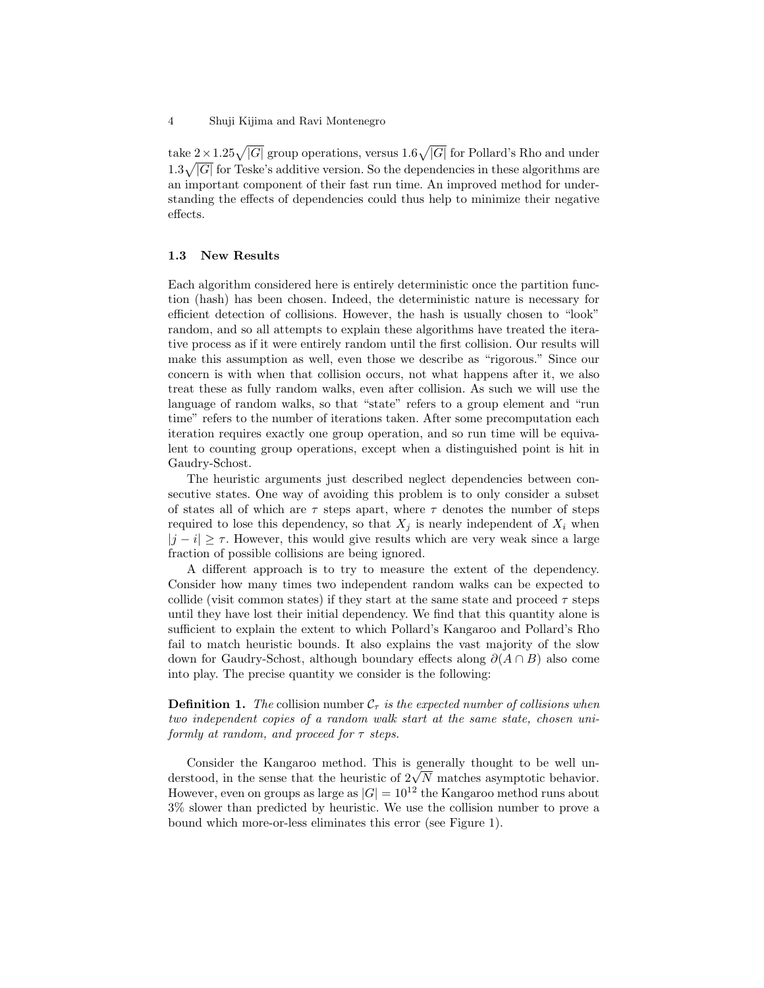take  $2 \times 1.25\sqrt{|G|}$  group operations, versus  $1.6\sqrt{|G|}$  for Pollard's Rho and under  $1.3\sqrt{|G|}$  for Teske's additive version. So the dependencies in these algorithms are an important component of their fast run time. An improved method for understanding the effects of dependencies could thus help to minimize their negative effects.

#### 1.3 New Results

Each algorithm considered here is entirely deterministic once the partition function (hash) has been chosen. Indeed, the deterministic nature is necessary for efficient detection of collisions. However, the hash is usually chosen to "look" random, and so all attempts to explain these algorithms have treated the iterative process as if it were entirely random until the first collision. Our results will make this assumption as well, even those we describe as "rigorous." Since our concern is with when that collision occurs, not what happens after it, we also treat these as fully random walks, even after collision. As such we will use the language of random walks, so that "state" refers to a group element and "run time" refers to the number of iterations taken. After some precomputation each iteration requires exactly one group operation, and so run time will be equivalent to counting group operations, except when a distinguished point is hit in Gaudry-Schost.

The heuristic arguments just described neglect dependencies between consecutive states. One way of avoiding this problem is to only consider a subset of states all of which are  $\tau$  steps apart, where  $\tau$  denotes the number of steps required to lose this dependency, so that  $X_i$  is nearly independent of  $X_i$  when  $|j - i| \geq \tau$ . However, this would give results which are very weak since a large fraction of possible collisions are being ignored.

A different approach is to try to measure the extent of the dependency. Consider how many times two independent random walks can be expected to collide (visit common states) if they start at the same state and proceed  $\tau$  steps until they have lost their initial dependency. We find that this quantity alone is sufficient to explain the extent to which Pollard's Kangaroo and Pollard's Rho fail to match heuristic bounds. It also explains the vast majority of the slow down for Gaudry-Schost, although boundary effects along  $\partial(A \cap B)$  also come into play. The precise quantity we consider is the following:

# **Definition 1.** The collision number  $\mathcal{C}_{\tau}$  is the expected number of collisions when two independent copies of a random walk start at the same state, chosen uniformly at random, and proceed for  $\tau$  steps.

Consider the Kangaroo method. This is generally thought to be well un-Consider the Kangaroo method. This is generally thought to be well understood, in the sense that the heuristic of  $2\sqrt{N}$  matches asymptotic behavior. However, even on groups as large as  $|G| = 10^{12}$  the Kangaroo method runs about 3% slower than predicted by heuristic. We use the collision number to prove a bound which more-or-less eliminates this error (see Figure 1).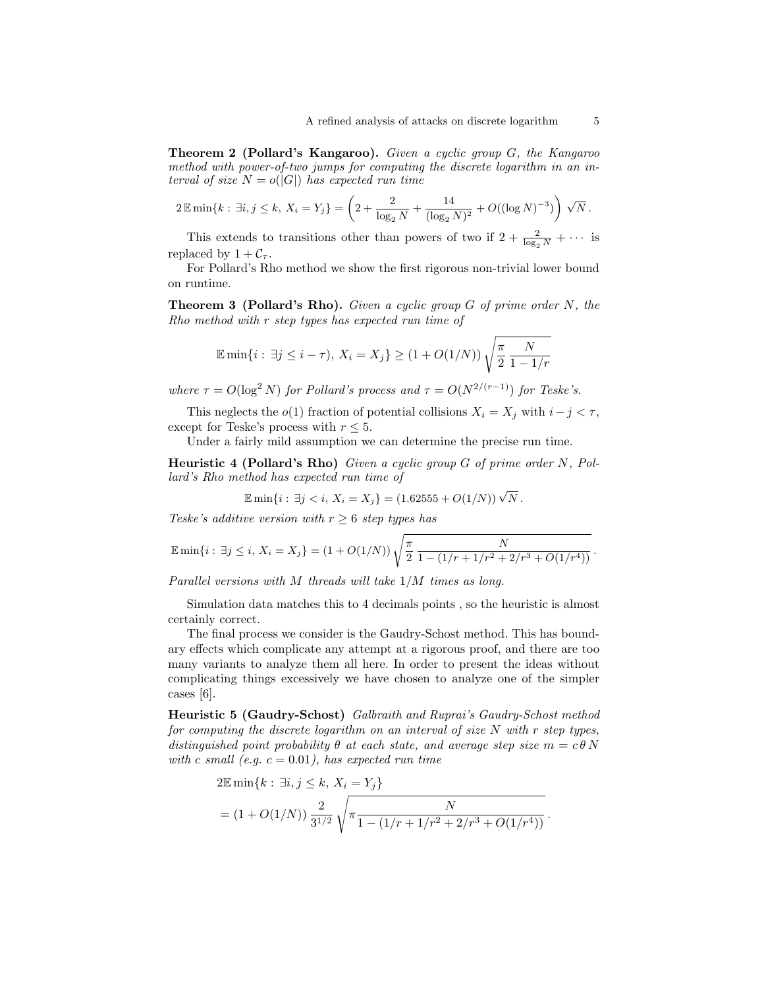Theorem 2 (Pollard's Kangaroo). Given a cyclic group G, the Kangaroo method with power-of-two jumps for computing the discrete logarithm in an interval of size  $N = o(|G|)$  has expected run time

$$
2 \mathbb{E} \min\{k : \exists i, j \leq k, X_i = Y_j\} = \left(2 + \frac{2}{\log_2 N} + \frac{14}{(\log_2 N)^2} + O((\log N)^{-3})\right) \sqrt{N}.
$$

This extends to transitions other than powers of two if  $2 + \frac{2}{\log_2 N} + \cdots$  is replaced by  $1 + C_{\tau}$ .

For Pollard's Rho method we show the first rigorous non-trivial lower bound on runtime.

**Theorem 3 (Pollard's Rho).** Given a cyclic group  $G$  of prime order  $N$ , the Rho method with r step types has expected run time of

$$
\mathbb{E}\min\{i : \exists j \le i - \tau\}, X_i = X_j\} \ge (1 + O(1/N))\sqrt{\frac{\pi}{2} \frac{N}{1 - 1/r}}
$$

where  $\tau = O(\log^2 N)$  for Pollard's process and  $\tau = O(N^{2/(r-1)})$  for Teske's.

This neglects the  $o(1)$  fraction of potential collisions  $X_i = X_j$  with  $i - j < \tau$ , except for Teske's process with  $r \leq 5$ .

Under a fairly mild assumption we can determine the precise run time.

Heuristic 4 (Pollard's Rho) Given a cyclic group G of prime order N, Pollard's Rho method has expected run time of

$$
\mathbb{E}\min\{i:\,\exists j < i,\, X_i = X_j\} = (1.62555 + O(1/N))\sqrt{N}\,.
$$

Teske's additive version with  $r \geq 6$  step types has

$$
\mathbb{E}\min\{i:\,\exists j\leq i,\,X_i=X_j\}=(1+O(1/N))\sqrt{\frac{\pi}{2}\frac{N}{1-(1/r+1/r^2+2/r^3+O(1/r^4))}}.
$$

Parallel versions with M threads will take 1/M times as long.

Simulation data matches this to 4 decimals points , so the heuristic is almost certainly correct.

The final process we consider is the Gaudry-Schost method. This has boundary effects which complicate any attempt at a rigorous proof, and there are too many variants to analyze them all here. In order to present the ideas without complicating things excessively we have chosen to analyze one of the simpler cases [6].

Heuristic 5 (Gaudry-Schost) Galbraith and Ruprai's Gaudry-Schost method for computing the discrete logarithm on an interval of size N with r step types, distinguished point probability  $\theta$  at each state, and average step size  $m = c \theta N$ with c small (e.g.  $c = 0.01$ ), has expected run time

$$
2\mathbb{E}\min\{k : \exists i, j \le k, X_i = Y_j\}
$$
  
=  $(1 + O(1/N)) \frac{2}{3^{1/2}} \sqrt{\pi \frac{N}{1 - (1/r + 1/r^2 + 2/r^3 + O(1/r^4))}}$ .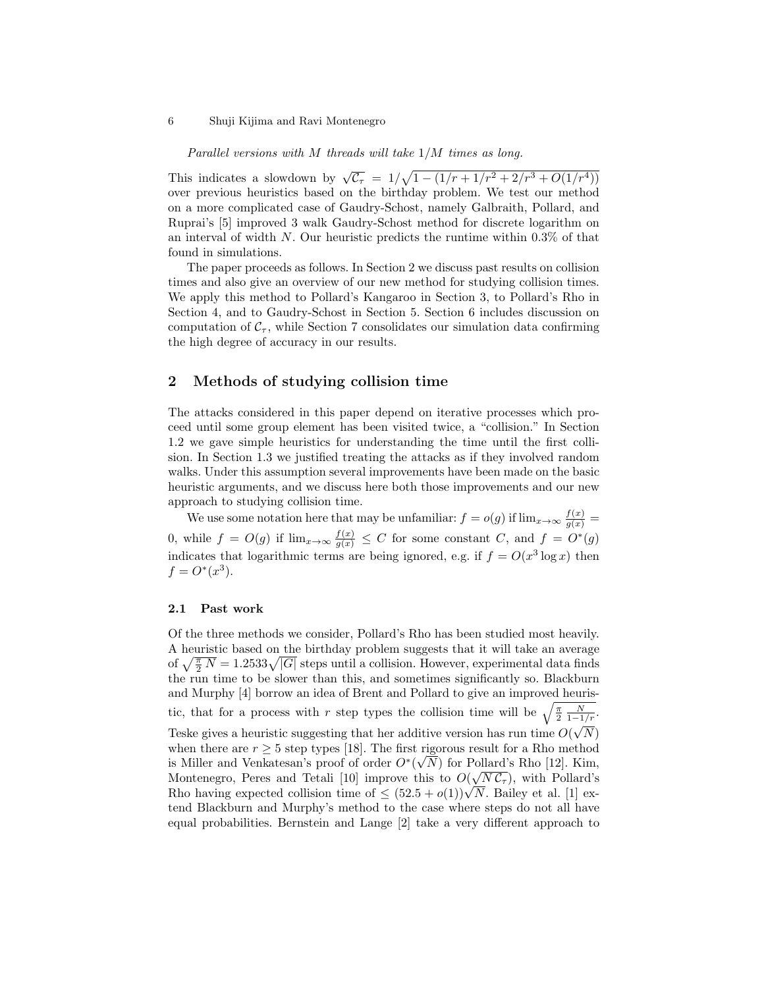Parallel versions with M threads will take 1/M times as long.

This indicates a slowdown by  $\sqrt{c_r} = 1/\sqrt{1-(1/r+1/r^2+2/r^3+O(1/r^4))}$ over previous heuristics based on the birthday problem. We test our method on a more complicated case of Gaudry-Schost, namely Galbraith, Pollard, and Ruprai's [5] improved 3 walk Gaudry-Schost method for discrete logarithm on an interval of width  $N$ . Our heuristic predicts the runtime within 0.3% of that found in simulations.

The paper proceeds as follows. In Section 2 we discuss past results on collision times and also give an overview of our new method for studying collision times. We apply this method to Pollard's Kangaroo in Section 3, to Pollard's Rho in Section 4, and to Gaudry-Schost in Section 5. Section 6 includes discussion on computation of  $C_{\tau}$ , while Section 7 consolidates our simulation data confirming the high degree of accuracy in our results.

## 2 Methods of studying collision time

The attacks considered in this paper depend on iterative processes which proceed until some group element has been visited twice, a "collision." In Section 1.2 we gave simple heuristics for understanding the time until the first collision. In Section 1.3 we justified treating the attacks as if they involved random walks. Under this assumption several improvements have been made on the basic heuristic arguments, and we discuss here both those improvements and our new approach to studying collision time.

We use some notation here that may be unfamiliar:  $f = o(g)$  if  $\lim_{x \to \infty} \frac{f(x)}{g(x)} =$ 0, while  $f = O(g)$  if  $\lim_{x\to\infty} \frac{f(x)}{g(x)} \leq C$  for some constant C, and  $f = O^*(g)$ indicates that logarithmic terms are being ignored, e.g. if  $f = O(x^3 \log x)$  then  $f = O^*(x^3)$ .

#### 2.1 Past work

Of the three methods we consider, Pollard's Rho has been studied most heavily. A heuristic based on the birthday problem suggests that it will take an average of  $\sqrt{\frac{\pi}{2}N} = 1.2533\sqrt{|G|}$  steps until a collision. However, experimental data finds the run time to be slower than this, and sometimes significantly so. Blackburn and Murphy [4] borrow an idea of Brent and Pollard to give an improved heuristic, that for a process with r step types the collision time will be  $\sqrt{\frac{\pi}{2}} \frac{N}{1-1/r}$ . Teske gives a heuristic suggesting that her additive version has run time  $O(\sqrt{N})$ when there are  $r \geq 5$  step types [18]. The first rigorous result for a Rho method is Miller and Venkatesan's proof of order  $O<sup>*</sup>(\sqrt{N})$  for Pollard's Rho [12]. Kim, Montenegro, Peres and Tetali [10] improve this to  $O(\sqrt{N}C_{\tau})$ , with Pollard's Montenegro, Peres and Tetan [10] improve this to  $O(\sqrt{N}C_{\tau})$ , with Pollard's Rho having expected collision time of  $\leq (52.5 + o(1))\sqrt{N}$ . Bailey et al. [1] extend Blackburn and Murphy's method to the case where steps do not all have equal probabilities. Bernstein and Lange [2] take a very different approach to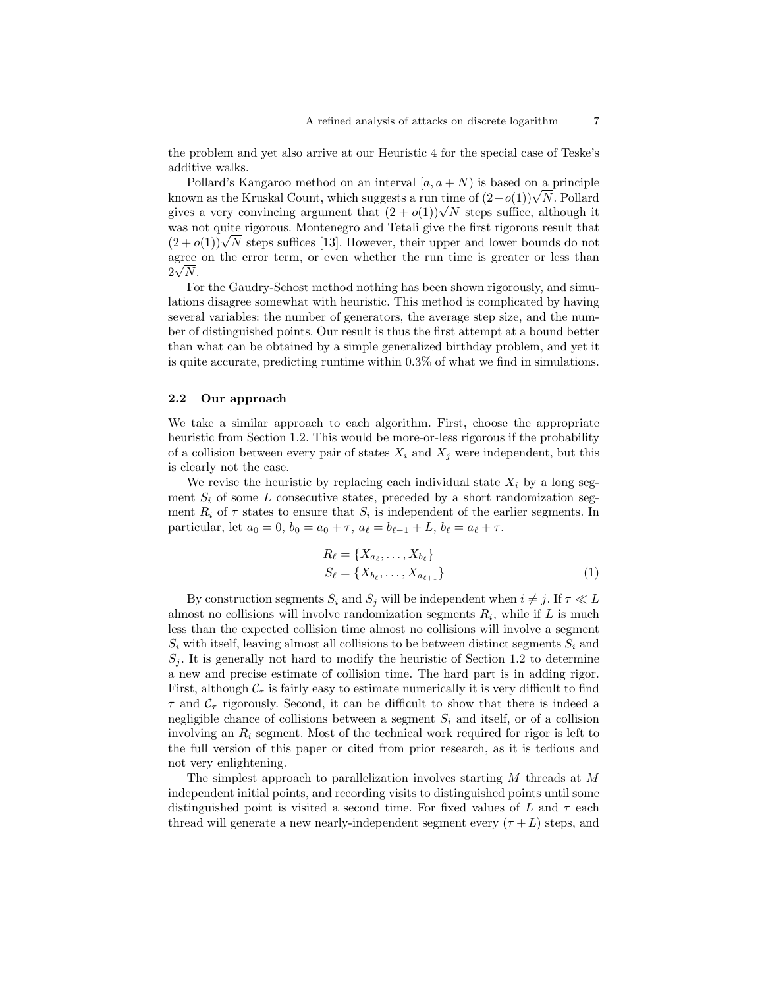the problem and yet also arrive at our Heuristic 4 for the special case of Teske's additive walks.

Pollard's Kangaroo method on an interval  $[a, a + N]$  is based on a principle Follard's Kangaroo method on an interval  $[a, a + N)$  is based on a principle<br>known as the Kruskal Count, which suggests a run time of  $(2+o(1))\sqrt{N}$ . Pollard known as the Kruskal Count, which suggests a run time of  $(2+o(1))\sqrt{N}$ . Pollard gives a very convincing argument that  $(2+o(1))\sqrt{N}$  steps suffice, although it was not quite rigorous. Montenegro and Tetali give the first rigorous result that was not quite rigorous. Montenegro and Tetall give the first rigorous result that  $(2 + o(1))\sqrt{N}$  steps suffices [13]. However, their upper and lower bounds do not agree on the error term, or even whether the run time is greater or less than √  $2\sqrt{N}$ .

For the Gaudry-Schost method nothing has been shown rigorously, and simulations disagree somewhat with heuristic. This method is complicated by having several variables: the number of generators, the average step size, and the number of distinguished points. Our result is thus the first attempt at a bound better than what can be obtained by a simple generalized birthday problem, and yet it is quite accurate, predicting runtime within 0.3% of what we find in simulations.

### 2.2 Our approach

We take a similar approach to each algorithm. First, choose the appropriate heuristic from Section 1.2. This would be more-or-less rigorous if the probability of a collision between every pair of states  $X_i$  and  $X_j$  were independent, but this is clearly not the case.

We revise the heuristic by replacing each individual state  $X_i$  by a long segment  $S_i$  of some L consecutive states, preceded by a short randomization segment  $R_i$  of  $\tau$  states to ensure that  $S_i$  is independent of the earlier segments. In particular, let  $a_0 = 0$ ,  $b_0 = a_0 + \tau$ ,  $a_\ell = b_{\ell-1} + L$ ,  $b_\ell = a_\ell + \tau$ .

$$
R_{\ell} = \{X_{a_{\ell}}, \dots, X_{b_{\ell}}\}
$$
  

$$
S_{\ell} = \{X_{b_{\ell}}, \dots, X_{a_{\ell+1}}\}
$$
 (1)

By construction segments  $S_i$  and  $S_j$  will be independent when  $i \neq j$ . If  $\tau \ll L$ almost no collisions will involve randomization segments  $R_i$ , while if  $L$  is much less than the expected collision time almost no collisions will involve a segment  $S_i$  with itself, leaving almost all collisions to be between distinct segments  $S_i$  and  $S_j$ . It is generally not hard to modify the heuristic of Section 1.2 to determine a new and precise estimate of collision time. The hard part is in adding rigor. First, although  $C_{\tau}$  is fairly easy to estimate numerically it is very difficult to find  $\tau$  and  $\mathcal{C}_{\tau}$  rigorously. Second, it can be difficult to show that there is indeed a negligible chance of collisions between a segment  $S_i$  and itself, or of a collision involving an  $R_i$  segment. Most of the technical work required for rigor is left to the full version of this paper or cited from prior research, as it is tedious and not very enlightening.

The simplest approach to parallelization involves starting M threads at M independent initial points, and recording visits to distinguished points until some distinguished point is visited a second time. For fixed values of L and  $\tau$  each thread will generate a new nearly-independent segment every  $(\tau + L)$  steps, and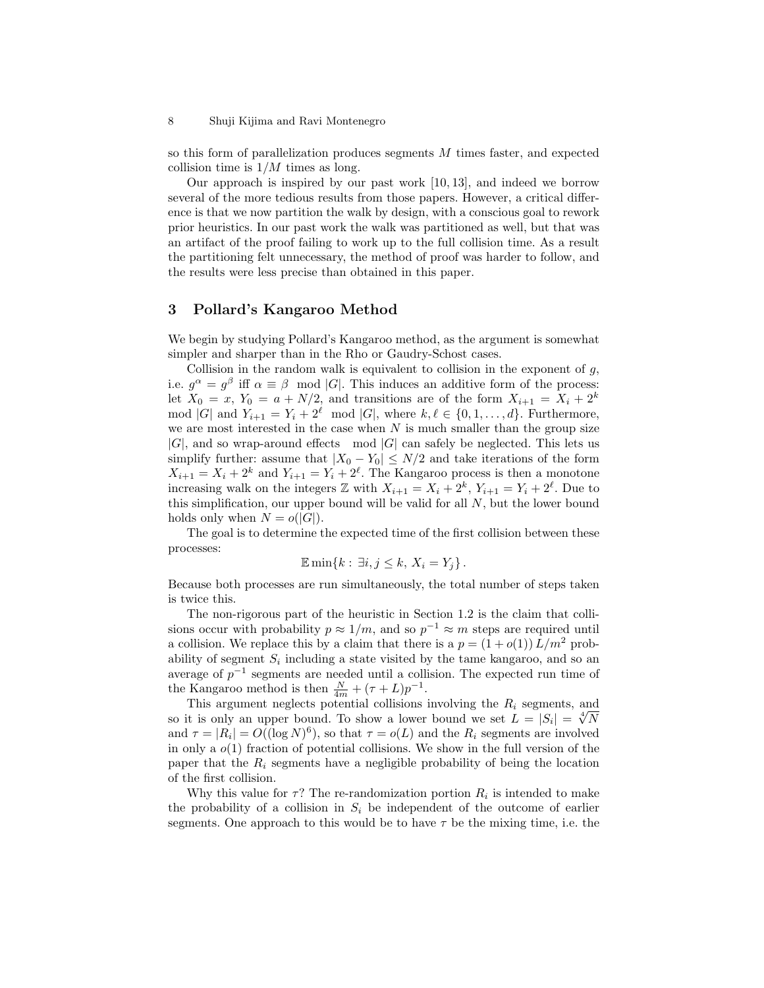so this form of parallelization produces segments M times faster, and expected collision time is  $1/M$  times as long.

Our approach is inspired by our past work [10, 13], and indeed we borrow several of the more tedious results from those papers. However, a critical difference is that we now partition the walk by design, with a conscious goal to rework prior heuristics. In our past work the walk was partitioned as well, but that was an artifact of the proof failing to work up to the full collision time. As a result the partitioning felt unnecessary, the method of proof was harder to follow, and the results were less precise than obtained in this paper.

### 3 Pollard's Kangaroo Method

We begin by studying Pollard's Kangaroo method, as the argument is somewhat simpler and sharper than in the Rho or Gaudry-Schost cases.

Collision in the random walk is equivalent to collision in the exponent of  $q$ , i.e.  $g^{\alpha} = g^{\beta}$  iff  $\alpha \equiv \beta \mod |G|$ . This induces an additive form of the process: let  $X_0 = x$ ,  $Y_0 = a + N/2$ , and transitions are of the form  $X_{i+1} = X_i + 2^k$ mod |G| and  $Y_{i+1} = Y_i + 2^{\ell} \mod |G|$ , where  $k, \ell \in \{0, 1, \ldots, d\}$ . Furthermore, we are most interested in the case when  $N$  is much smaller than the group size  $|G|$ , and so wrap-around effects mod  $|G|$  can safely be neglected. This lets us simplify further: assume that  $|X_0 - Y_0| \le N/2$  and take iterations of the form  $X_{i+1} = X_i + 2^k$  and  $Y_{i+1} = Y_i + 2^{\ell}$ . The Kangaroo process is then a monotone increasing walk on the integers  $\mathbb Z$  with  $X_{i+1} = X_i + 2^k$ ,  $Y_{i+1} = Y_i + 2^{\ell}$ . Due to this simplification, our upper bound will be valid for all  $N$ , but the lower bound holds only when  $N = o(|G|)$ .

The goal is to determine the expected time of the first collision between these processes:

$$
\mathbb{E}\min\{k:\,\exists i,j\leq k,\,X_i=Y_j\}\,.
$$

Because both processes are run simultaneously, the total number of steps taken is twice this.

The non-rigorous part of the heuristic in Section 1.2 is the claim that collisions occur with probability  $p \approx 1/m$ , and so  $p^{-1} \approx m$  steps are required until a collision. We replace this by a claim that there is a  $p = (1 + o(1))L/m^2$  probability of segment  $S_i$  including a state visited by the tame kangaroo, and so an average of  $p^{-1}$  segments are needed until a collision. The expected run time of the Kangaroo method is then  $\frac{N}{4m} + (\tau + L)p^{-1}$ .

This argument neglects potential collisions involving the  $R_i$  segments, and This argument neglects potential collisions involving the  $K_i$  segments, and<br>so it is only an upper bound. To show a lower bound we set  $L = |S_i| = \sqrt[4]{N}$ and  $\tau = |R_i| = O((\log N)^6)$ , so that  $\tau = o(L)$  and the  $R_i$  segments are involved in only a  $o(1)$  fraction of potential collisions. We show in the full version of the paper that the  $R_i$  segments have a negligible probability of being the location of the first collision.

Why this value for  $\tau$ ? The re-randomization portion  $R_i$  is intended to make the probability of a collision in  $S_i$  be independent of the outcome of earlier segments. One approach to this would be to have  $\tau$  be the mixing time, i.e. the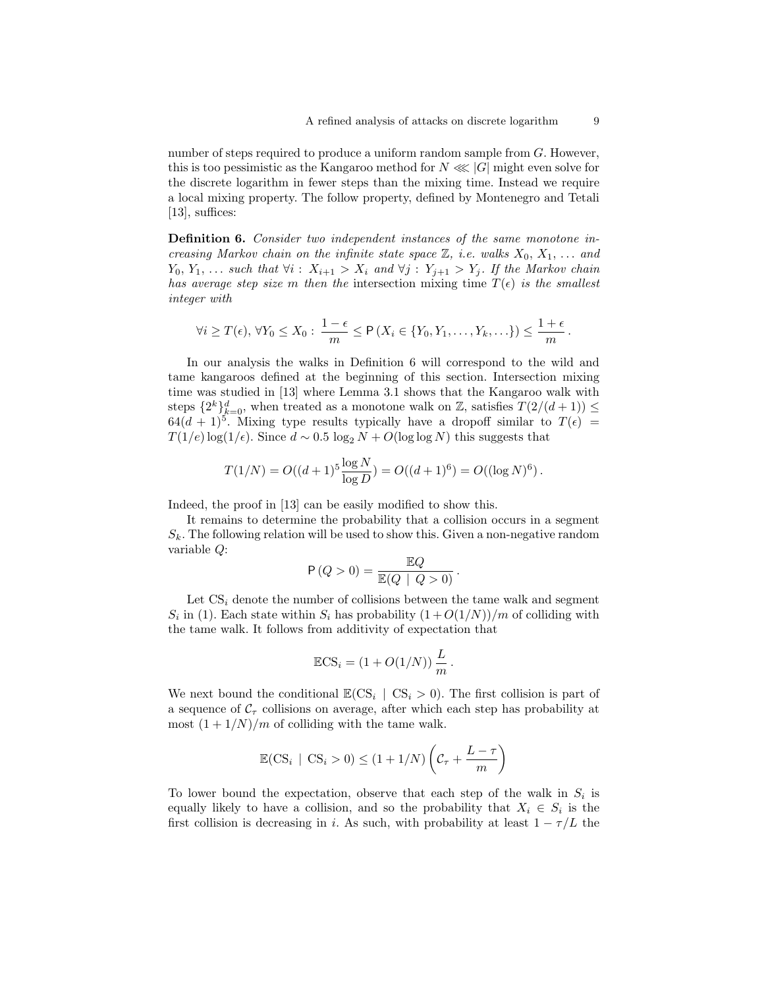number of steps required to produce a uniform random sample from G. However, this is too pessimistic as the Kangaroo method for  $N \ll |G|$  might even solve for the discrete logarithm in fewer steps than the mixing time. Instead we require a local mixing property. The follow property, defined by Montenegro and Tetali [13], suffices:

Definition 6. Consider two independent instances of the same monotone increasing Markov chain on the infinite state space  $\mathbb{Z}$ , i.e. walks  $X_0, X_1, \ldots$  and  $Y_0, Y_1, \ldots$  such that  $\forall i : X_{i+1} > X_i$  and  $\forall j : Y_{j+1} > Y_j$ . If the Markov chain has average step size m then the intersection mixing time  $T(\epsilon)$  is the smallest integer with

$$
\forall i \geq T(\epsilon), \, \forall Y_0 \leq X_0: \, \frac{1-\epsilon}{m} \leq \mathsf{P}\left(X_i \in \{Y_0, Y_1, \ldots, Y_k, \ldots\}\right) \leq \frac{1+\epsilon}{m} \, .
$$

In our analysis the walks in Definition 6 will correspond to the wild and tame kangaroos defined at the beginning of this section. Intersection mixing time was studied in [13] where Lemma 3.1 shows that the Kangaroo walk with steps  $\{2^k\}_{k=0}^d$ , when treated as a monotone walk on Z, satisfies  $T(2/(d+1)) \leq$  $64(d+1)^5$ . Mixing type results typically have a dropoff similar to  $T(\epsilon)$  =  $T(1/e) \log(1/\epsilon)$ . Since  $d \sim 0.5 \log_2 N + O(\log \log N)$  this suggests that

$$
T(1/N) = O((d+1)^5 \frac{\log N}{\log D}) = O((d+1)^6) = O((\log N)^6).
$$

Indeed, the proof in [13] can be easily modified to show this.

It remains to determine the probability that a collision occurs in a segment  $S_k$ . The following relation will be used to show this. Given a non-negative random variable Q:

$$
\mathsf{P}\left(Q>0\right)=\frac{\mathbb{E}Q}{\mathbb{E}(Q\ |\ Q>0)}\,.
$$

Let  $CS<sub>i</sub>$  denote the number of collisions between the tame walk and segment  $S_i$  in (1). Each state within  $S_i$  has probability  $(1+O(1/N))/m$  of colliding with the tame walk. It follows from additivity of expectation that

$$
\mathbb{E}\text{CS}_i = (1 + O(1/N))\frac{L}{m}.
$$

We next bound the conditional  $\mathbb{E}(CS_i | CS_i > 0)$ . The first collision is part of a sequence of  $\mathcal{C}_{\tau}$  collisions on average, after which each step has probability at most  $(1 + 1/N)/m$  of colliding with the tame walk.

$$
\mathbb{E}(\text{CS}_i \mid \text{CS}_i > 0) \le (1 + 1/N) \left( C_\tau + \frac{L - \tau}{m} \right)
$$

To lower bound the expectation, observe that each step of the walk in  $S_i$  is equally likely to have a collision, and so the probability that  $X_i \in S_i$  is the first collision is decreasing in i. As such, with probability at least  $1 - \tau/L$  the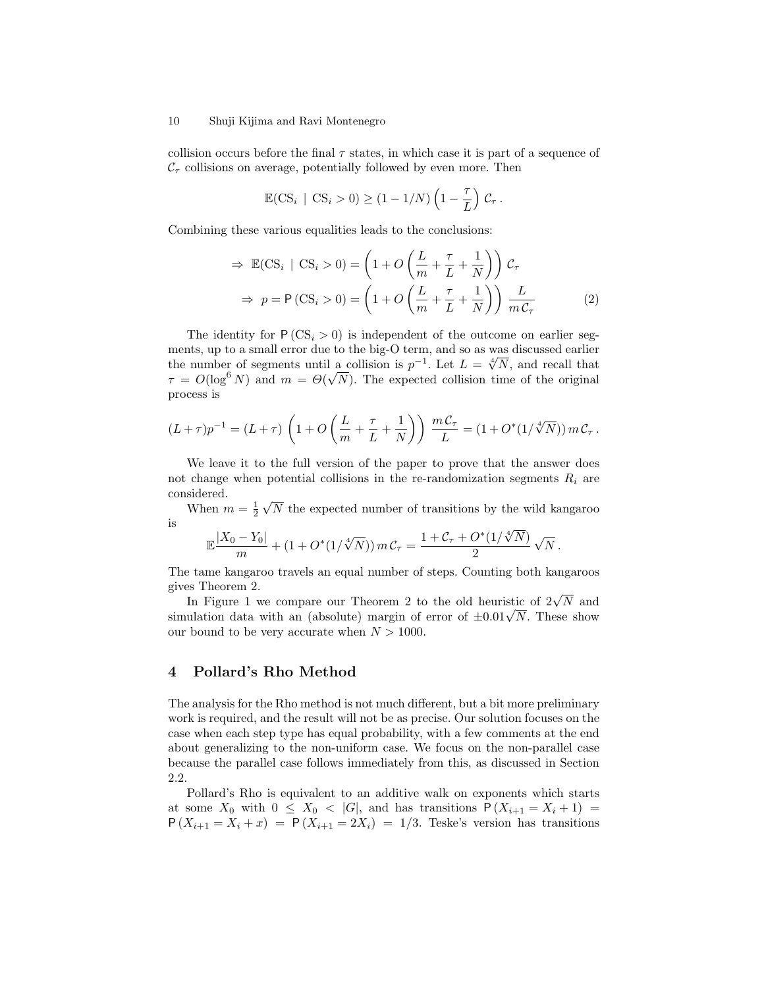collision occurs before the final  $\tau$  states, in which case it is part of a sequence of  $\mathcal{C}_{\tau}$  collisions on average, potentially followed by even more. Then

$$
\mathbb{E}(\text{CS}_i \mid \text{CS}_i > 0) \ge (1 - 1/N) \left(1 - \frac{\tau}{L}\right) \mathcal{C}_\tau.
$$

Combining these various equalities leads to the conclusions:

$$
\Rightarrow \mathbb{E}(CS_i \mid CS_i > 0) = \left(1 + O\left(\frac{L}{m} + \frac{\tau}{L} + \frac{1}{N}\right)\right) C_{\tau}
$$

$$
\Rightarrow p = P(CS_i > 0) = \left(1 + O\left(\frac{L}{m} + \frac{\tau}{L} + \frac{1}{N}\right)\right) \frac{L}{mC_{\tau}}
$$
(2)

The identity for  $P (CS_i > 0)$  is independent of the outcome on earlier segments, up to a small error due to the big-O term, and so as was discussed earlier ments, up to a small error due to the big-O term, and so as was discussed earlier<br>the number of segments until a collision is  $p^{-1}$ . Let  $L = \sqrt[4]{N}$ , and recall that  $\tau = O(\log^6 N)$  and  $m = \Theta(\sqrt{N})$ . The expected collision time of the original process is

$$
(L+\tau)p^{-1} = (L+\tau)\left(1+O\left(\frac{L}{m}+\frac{\tau}{L}+\frac{1}{N}\right)\right)\frac{mC_{\tau}}{L} = (1+O^*(1/\sqrt[4]{N}))mC_{\tau}.
$$

We leave it to the full version of the paper to prove that the answer does not change when potential collisions in the re-randomization segments  $R_i$  are considered. √

When  $m=\frac{1}{2}$ N the expected number of transitions by the wild kangaroo is

$$
\mathbb{E}\frac{|X_0 - Y_0|}{m} + (1 + O^*(1/\sqrt[4]{N})) mC_\tau = \frac{1 + C_\tau + O^*(1/\sqrt[4]{N})}{2} \sqrt{N}.
$$

The tame kangaroo travels an equal number of steps. Counting both kangaroos gives Theorem 2.

ss ineorem 2.<br>In Figure 1 we compare our Theorem 2 to the old heuristic of  $2\sqrt{N}$  and In Figure 1 we compare our Theorem 2 to the old neuristic or  $2\sqrt{N}$  and<br>simulation data with an (absolute) margin of error of  $\pm 0.01\sqrt{N}$ . These show our bound to be very accurate when  $N > 1000$ .

### 4 Pollard's Rho Method

The analysis for the Rho method is not much different, but a bit more preliminary work is required, and the result will not be as precise. Our solution focuses on the case when each step type has equal probability, with a few comments at the end about generalizing to the non-uniform case. We focus on the non-parallel case because the parallel case follows immediately from this, as discussed in Section 2.2.

Pollard's Rho is equivalent to an additive walk on exponents which starts at some  $X_0$  with  $0 \leq X_0 < |G|$ , and has transitions  $P(X_{i+1} = X_i + 1) =$  $P(X_{i+1}=X_i+x) = P(X_{i+1}=2X_i) = 1/3$ . Teske's version has transitions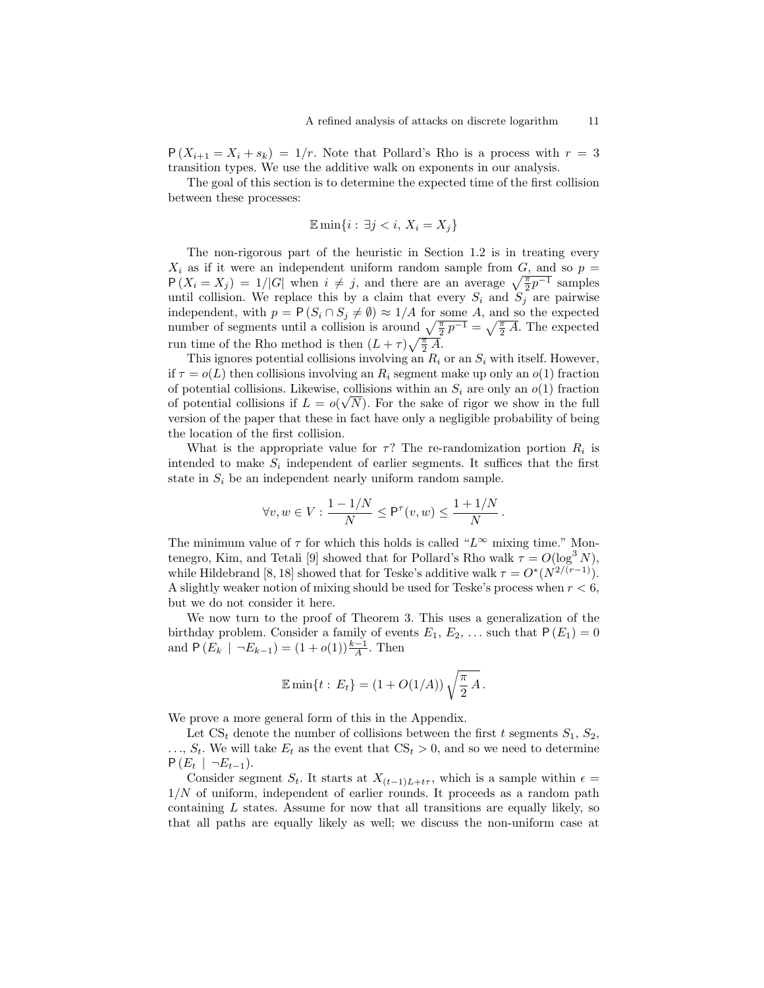$P(X_{i+1} = X_i + s_k) = 1/r$ . Note that Pollard's Rho is a process with  $r = 3$ transition types. We use the additive walk on exponents in our analysis.

The goal of this section is to determine the expected time of the first collision between these processes:

$$
\mathbb{E}\min\{i:\,\exists j
$$

The non-rigorous part of the heuristic in Section 1.2 is in treating every  $X_i$  as if it were an independent uniform random sample from  $G$ , and so  $p =$  $P(X_i = X_j) = 1/|G|$  when  $i \neq j$ , and there are an average  $\sqrt{\frac{\pi}{2}p^{-1}}$  samples until collision. We replace this by a claim that every  $S_i$  and  $S_j$  are pairwise independent, with  $p = P(S_i \cap S_j \neq \emptyset) \approx 1/A$  for some A, and so the expected number of segments until a collision is around  $\sqrt{\frac{\pi}{2}p^{-1}} = \sqrt{\frac{\pi}{2}A}$ . The expected run time of the Rho method is then  $(L + \tau)\sqrt{\frac{\pi}{2} A}$ .

This ignores potential collisions involving an  $R_i$  or an  $S_i$  with itself. However, if  $\tau = o(L)$  then collisions involving an  $R_i$  segment make up only an  $o(1)$  fraction of potential collisions. Likewise, collisions within an  $S_i$  are only an  $o(1)$  fraction of potential collisions if  $L = o(\sqrt{N})$ . For the sake of rigor we show in the full version of the paper that these in fact have only a negligible probability of being the location of the first collision.

What is the appropriate value for  $\tau$ ? The re-randomization portion  $R_i$  is intended to make  $S_i$  independent of earlier segments. It suffices that the first state in  $S_i$  be an independent nearly uniform random sample.

$$
\forall v, w \in V: \frac{1 - 1/N}{N} \le P^{\tau}(v, w) \le \frac{1 + 1/N}{N}.
$$

The minimum value of  $\tau$  for which this holds is called "L<sup>∞</sup> mixing time." Montenegro, Kim, and Tetali [9] showed that for Pollard's Rho walk  $\tau = O(\log^3 N)$ , while Hildebrand [8, 18] showed that for Teske's additive walk  $\tau = O^*(N^{2/(r-1)})$ . A slightly weaker notion of mixing should be used for Teske's process when  $r < 6$ , but we do not consider it here.

We now turn to the proof of Theorem 3. This uses a generalization of the birthday problem. Consider a family of events  $E_1, E_2, \ldots$  such that  $P(E_1) = 0$ and  $P(E_k \mid \neg E_{k-1}) = (1 + o(1))\frac{k-1}{A}$ . Then

$$
\mathbb{E}\min\{t : E_t\} = (1 + O(1/A))\sqrt{\frac{\pi}{2}A}.
$$

We prove a more general form of this in the Appendix.

Let  $\text{CS}_t$  denote the number of collisions between the first t segments  $S_1, S_2$ ,  $\ldots$ ,  $S_t$ . We will take  $E_t$  as the event that  $\text{CS}_t > 0$ , and so we need to determine  $P(E_t | \neg E_{t-1}).$ 

Consider segment  $S_t$ . It starts at  $X_{(t-1)L+t\tau}$ , which is a sample within  $\epsilon =$  $1/N$  of uniform, independent of earlier rounds. It proceeds as a random path containing  $L$  states. Assume for now that all transitions are equally likely, so that all paths are equally likely as well; we discuss the non-uniform case at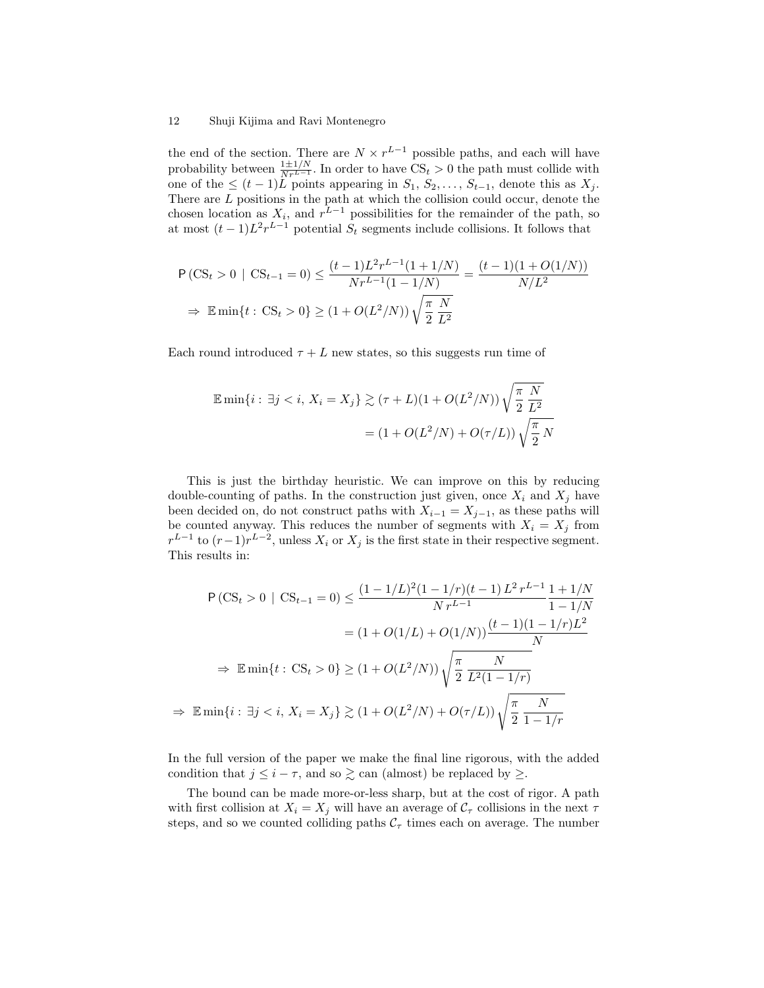the end of the section. There are  $N \times r^{L-1}$  possible paths, and each will have probability between  $\frac{1 \pm 1/N}{Nr^{L-1}}$ . In order to have  $CS_t > 0$  the path must collide with one of the  $\leq (t-1)\overline{L}$  points appearing in  $S_1, S_2, \ldots, S_{t-1}$ , denote this as  $X_j$ . There are L positions in the path at which the collision could occur, denote the chosen location as  $X_i$ , and  $r^{L-1}$  possibilities for the remainder of the path, so at most  $(t-1)L^2r^{L-1}$  potential  $S_t$  segments include collisions. It follows that

$$
\begin{aligned} &\text{P}\left(\text{CS}_t > 0 \mid \text{CS}_{t-1} = 0\right) \le \frac{(t-1)L^2r^{L-1}(1+1/N)}{Nr^{L-1}(1-1/N)} = \frac{(t-1)(1+O(1/N))}{N/L^2} \\ &\Rightarrow \mathbb{E}\min\{t: \text{CS}_t > 0\} \ge (1+O(L^2/N))\sqrt{\frac{\pi}{2}}\frac{N}{L^2} \end{aligned}
$$

Each round introduced  $\tau + L$  new states, so this suggests run time of

$$
\mathbb{E}\min\{i : \exists j < i, \ X_i = X_j\} \gtrsim (\tau + L)(1 + O(L^2/N))\sqrt{\frac{\pi}{2}}\frac{N}{L^2}
$$
\n
$$
= (1 + O(L^2/N) + O(\tau/L))\sqrt{\frac{\pi}{2}}N
$$

This is just the birthday heuristic. We can improve on this by reducing double-counting of paths. In the construction just given, once  $X_i$  and  $X_j$  have been decided on, do not construct paths with  $X_{i-1} = X_{j-1}$ , as these paths will be counted anyway. This reduces the number of segments with  $X_i = X_j$  from  $r^{L-1}$  to  $(r-1)r^{L-2}$ , unless  $X_i$  or  $X_j$  is the first state in their respective segment. This results in:

$$
P(CS_t > 0 \mid CS_{t-1} = 0) \le \frac{(1 - 1/L)^2 (1 - 1/r)(t - 1)L^2 r^{L-1}}{N r^{L-1}} \frac{1 + 1/N}{1 - 1/N}
$$

$$
= (1 + O(1/L) + O(1/N)) \frac{(t - 1)(1 - 1/r)L^2}{N}
$$

$$
\Rightarrow \mathbb{E} \min\{t : CS_t > 0\} \ge (1 + O(L^2/N)) \sqrt{\frac{\pi}{2} \frac{N}{L^2 (1 - 1/r)}}
$$

$$
\Rightarrow \mathbb{E} \min\{i : \exists j < i, X_i = X_j\} \gtrsim (1 + O(L^2/N) + O(\tau/L)) \sqrt{\frac{\pi}{2} \frac{N}{1 - 1/r}}
$$

In the full version of the paper we make the final line rigorous, with the added condition that  $j \leq i - \tau$ , and so  $\geq$  can (almost) be replaced by  $\geq$ .

The bound can be made more-or-less sharp, but at the cost of rigor. A path with first collision at  $X_i = X_j$  will have an average of  $C_\tau$  collisions in the next  $\tau$ steps, and so we counted colliding paths  $C<sub>\tau</sub>$  times each on average. The number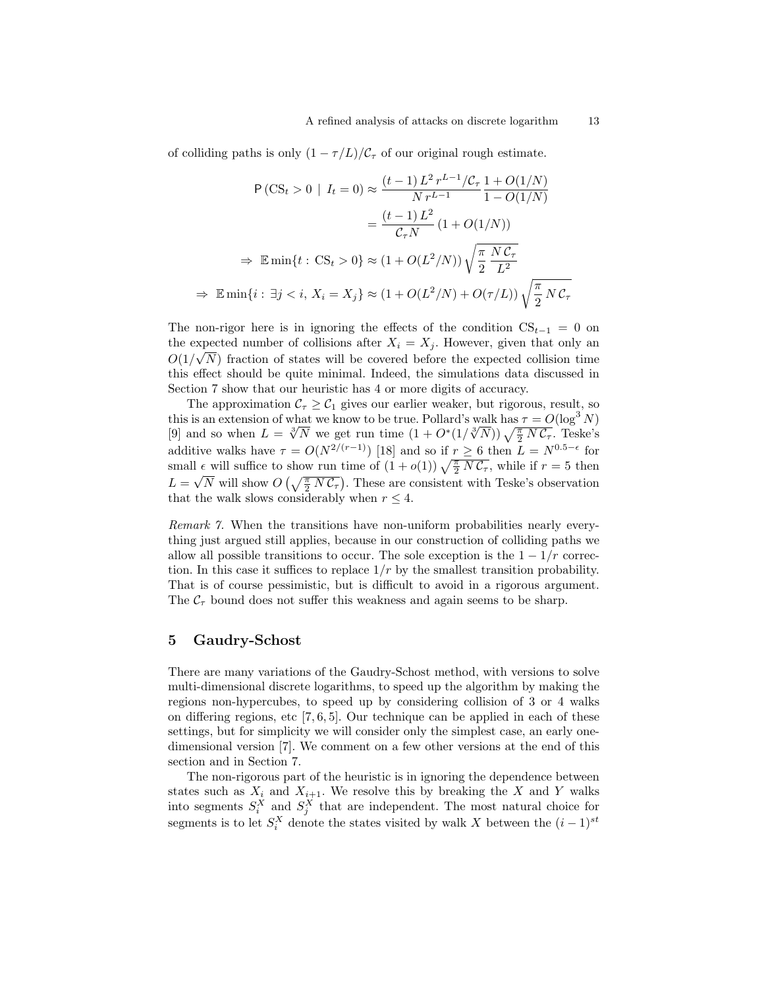of colliding paths is only  $(1 - \tau/L)/C_{\tau}$  of our original rough estimate.

$$
\mathsf{P}\left(\mathrm{CS}_{t} > 0 \mid I_{t} = 0\right) \approx \frac{(t-1)L^{2}r^{L-1}/\mathcal{C}_{\tau}}{N r^{L-1}} \frac{1 + O(1/N)}{1 - O(1/N)}
$$
\n
$$
= \frac{(t-1)L^{2}}{\mathcal{C}_{\tau} N} \left(1 + O(1/N)\right)
$$
\n
$$
\Rightarrow \mathbb{E} \min\{t : \mathrm{CS}_{t} > 0\} \approx \left(1 + O(L^{2}/N)\right) \sqrt{\frac{\pi}{2}} \frac{N \mathcal{C}_{\tau}}{L^{2}}
$$
\n
$$
\Rightarrow \mathbb{E} \min\{i : \exists j < i, X_{i} = X_{j}\} \approx \left(1 + O(L^{2}/N) + O(\tau/L)\right) \sqrt{\frac{\pi}{2} N \mathcal{C}_{\tau}}
$$

The non-rigor here is in ignoring the effects of the condition  $CS_{t-1} = 0$  on the expected number of collisions after  $X_i = X_j$ . However, given that only an  $O(1/\sqrt{N})$  fraction of states will be covered before the expected collision time this effect should be quite minimal. Indeed, the simulations data discussed in Section 7 show that our heuristic has 4 or more digits of accuracy.

The approximation  $\mathcal{C}_{\tau} \geq \mathcal{C}_1$  gives our earlier weaker, but rigorous, result, so this is an extension of what we know to be true. Pollard's walk has  $\tau = O(\log^3 N)$ this is an extension of what we know to be true. Pollard's walk has  $\tau = O(\log^2 N)$ <br>[9] and so when  $L = \sqrt[3]{N}$  we get run time  $(1 + O^*(1/\sqrt[3]{N})) \sqrt{\frac{\pi}{2} N C_{\tau}}$ . Teske's additive walks have  $\tau = O(N^{2/(r-1)})$  [18] and so if  $r \geq 6$  then  $L = N^{0.5-\epsilon}$  for small  $\epsilon$  will suffice to show run time of  $(1 + o(1)) \sqrt{\frac{\pi}{2} N C_{\tau}}$ , while if  $r = 5$  then  $L = \sqrt{N}$  will show  $O\left(\sqrt{\frac{\pi}{2} N C_{\tau}}\right)$ . These are consistent with Teske's observation that the walk slows considerably when  $r \leq 4$ .

Remark 7. When the transitions have non-uniform probabilities nearly everything just argued still applies, because in our construction of colliding paths we allow all possible transitions to occur. The sole exception is the  $1 - 1/r$  correction. In this case it suffices to replace  $1/r$  by the smallest transition probability. That is of course pessimistic, but is difficult to avoid in a rigorous argument. The  $C<sub>\tau</sub>$  bound does not suffer this weakness and again seems to be sharp.

### 5 Gaudry-Schost

There are many variations of the Gaudry-Schost method, with versions to solve multi-dimensional discrete logarithms, to speed up the algorithm by making the regions non-hypercubes, to speed up by considering collision of 3 or 4 walks on differing regions, etc  $[7, 6, 5]$ . Our technique can be applied in each of these settings, but for simplicity we will consider only the simplest case, an early onedimensional version [7]. We comment on a few other versions at the end of this section and in Section 7.

The non-rigorous part of the heuristic is in ignoring the dependence between states such as  $X_i$  and  $X_{i+1}$ . We resolve this by breaking the X and Y walks into segments  $S_i^X$  and  $S_j^X$  that are independent. The most natural choice for segments is to let  $S_i^X$  denote the states visited by walk X between the  $(i-1)^{st}$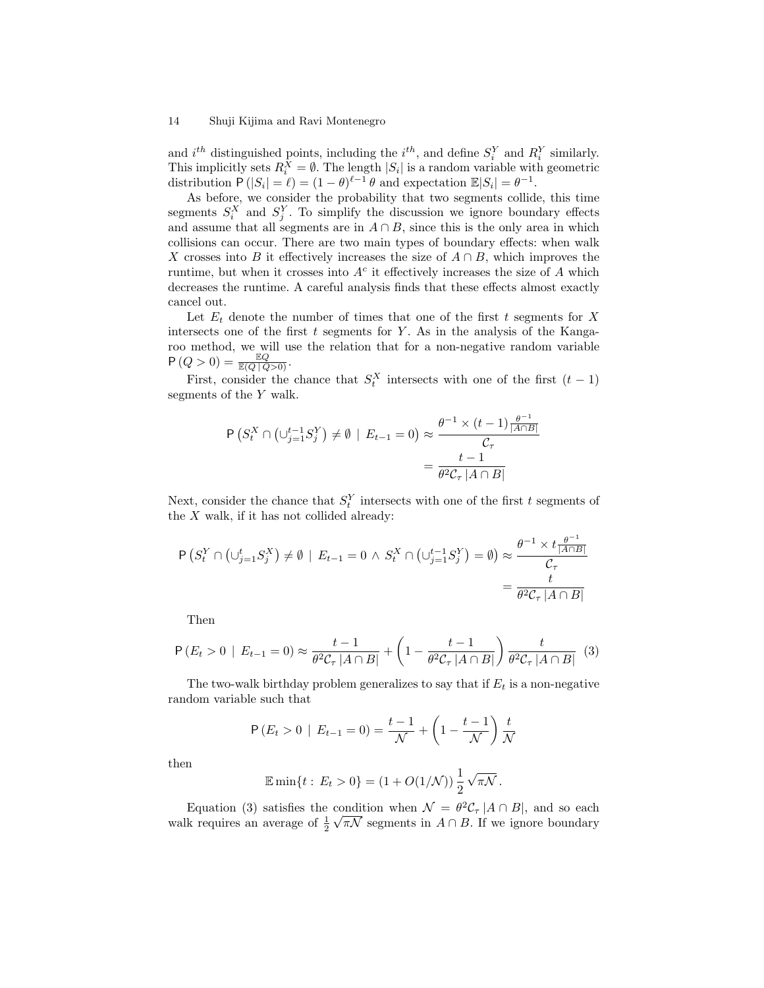and  $i^{th}$  distinguished points, including the  $i^{th}$ , and define  $S_i^Y$  and  $R_i^Y$  similarly. This implicitly sets  $R_i^X = \emptyset$ . The length  $|S_i|$  is a random variable with geometric distribution  $P(|S_i| = \ell) = (1 - \theta)^{\ell-1} \theta$  and expectation  $\mathbb{E}|S_i| = \theta^{-1}$ .

As before, we consider the probability that two segments collide, this time segments  $S_i^X$  and  $S_j^Y$ . To simplify the discussion we ignore boundary effects and assume that all segments are in  $A \cap B$ , since this is the only area in which collisions can occur. There are two main types of boundary effects: when walk X crosses into B it effectively increases the size of  $A \cap B$ , which improves the runtime, but when it crosses into  $A<sup>c</sup>$  it effectively increases the size of A which decreases the runtime. A careful analysis finds that these effects almost exactly cancel out.

Let  $E_t$  denote the number of times that one of the first t segments for X intersects one of the first  $t$  segments for  $Y$ . As in the analysis of the Kangaroo method, we will use the relation that for a non-negative random variable  $P(Q>0) = \frac{\mathbb{E}Q}{\mathbb{E}(Q|Q>0)}.$ 

First, consider the chance that  $S_t^X$  intersects with one of the first  $(t-1)$ segments of the Y walk.

$$
\mathsf{P}\left(S_t^X \cap \left(\cup_{j=1}^{t-1} S_j^Y\right) \neq \emptyset \mid E_{t-1} = 0\right) \approx \frac{\theta^{-1} \times (t-1) \frac{\theta^{-1}}{|A \cap B|}}{\mathcal{C}_{\tau}}
$$

$$
= \frac{t-1}{\theta^2 \mathcal{C}_{\tau} |A \cap B|}
$$

Next, consider the chance that  $S_t^Y$  intersects with one of the first t segments of the  $X$  walk, if it has not collided already:

$$
\begin{aligned} \mathsf{P}\left(S_t^Y \cap \left(\cup_{j=1}^t S_j^X\right) \neq \emptyset \mid E_{t-1} = 0 \,\wedge\, S_t^X \cap \left(\cup_{j=1}^{t-1} S_j^Y\right) = \emptyset\right) &\approx \frac{\theta^{-1} \times t \frac{\theta^{-1}}{|A \cap B|}}{C_\tau} \\ &= \frac{t}{\theta^2 C_\tau \, |A \cap B|} \end{aligned}
$$

Then

$$
\mathsf{P}\left(E_t > 0 \mid E_{t-1} = 0\right) \approx \frac{t-1}{\theta^2 \mathcal{C}_\tau \left|A \cap B\right|} + \left(1 - \frac{t-1}{\theta^2 \mathcal{C}_\tau \left|A \cap B\right|}\right) \frac{t}{\theta^2 \mathcal{C}_\tau \left|A \cap B\right|} \tag{3}
$$

The two-walk birthday problem generalizes to say that if  $E_t$  is a non-negative random variable such that

$$
P(E_t > 0 | E_{t-1} = 0) = \frac{t-1}{\mathcal{N}} + \left(1 - \frac{t-1}{\mathcal{N}}\right) \frac{t}{\mathcal{N}}
$$

then

$$
\mathbb{E}\min\{t:\, E_t > 0\} = (1 + O(1/\mathcal{N}))\,\frac{1}{2}\,\sqrt{\pi\mathcal{N}}\,.
$$

Equation (3) satisfies the condition when  $\mathcal{N} = \theta^2 \mathcal{C}_{\tau} |A \cap B|$ , and so each walk requires an average of  $\frac{1}{2} \sqrt{\pi N}$  segments in  $A \cap B$ . If we ignore boundary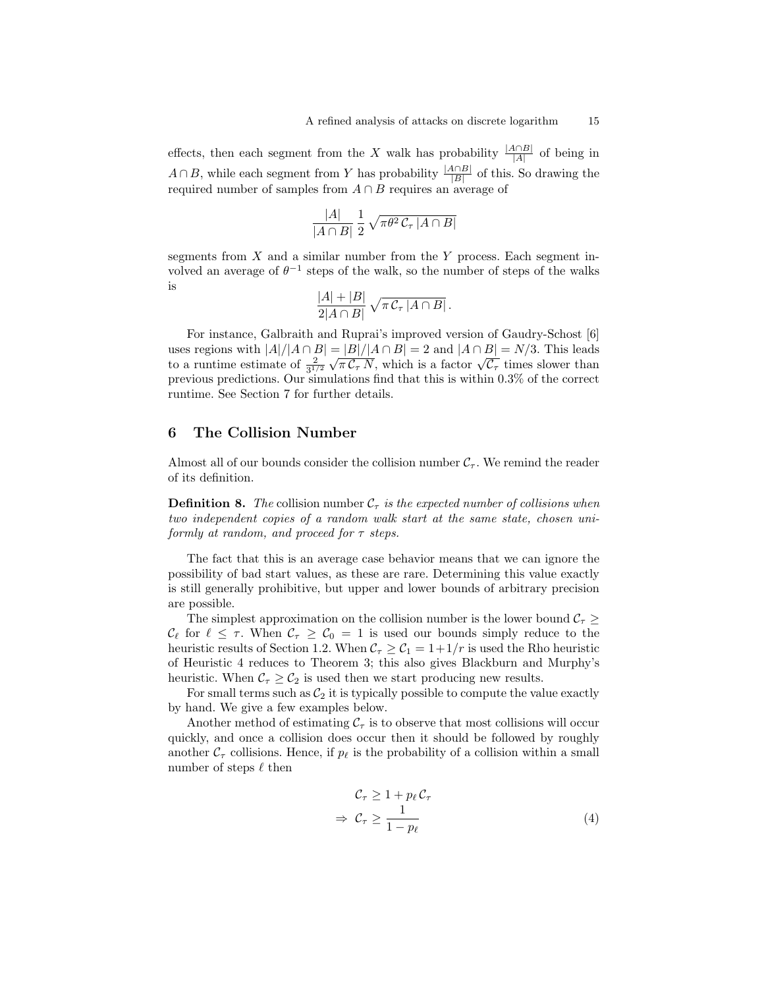effects, then each segment from the X walk has probability  $\frac{|A \cap B|}{|A|}$  of being in  $A \cap B$ , while each segment from Y has probability  $\frac{|A \cap B|}{|B|}$  of this. So drawing the required number of samples from  $A \cap B$  requires an average of

$$
\frac{|A|}{|A \cap B|} \frac{1}{2} \sqrt{\pi \theta^2 C_\tau |A \cap B|}
$$

segments from  $X$  and a similar number from the Y process. Each segment involved an average of  $\theta^{-1}$  steps of the walk, so the number of steps of the walks is

$$
\frac{|A|+|B|}{2|A\cap B|}\sqrt{\pi \mathcal{C}_{\tau}|A\cap B|}.
$$

For instance, Galbraith and Ruprai's improved version of Gaudry-Schost [6] uses regions with  $|A|/|A \cap B| = |B|/|A \cap B| = 2$  and  $|A \cap B| = N/3$ . This leads uses regions with  $|A|/|A| + |B| = |B|/|A| + |B| = 2$  and  $|A| + |B| = N/3$ . This reads<br>to a runtime estimate of  $\frac{2}{3^{1/2}}\sqrt{\pi C_{\tau} N}$ , which is a factor  $\sqrt{C_{\tau}}$  times slower than previous predictions. Our simulations find that this is within 0.3% of the correct runtime. See Section 7 for further details.

### 6 The Collision Number

Almost all of our bounds consider the collision number  $C_{\tau}$ . We remind the reader of its definition.

**Definition 8.** The collision number  $C_{\tau}$  is the expected number of collisions when two independent copies of a random walk start at the same state, chosen uniformly at random, and proceed for  $\tau$  steps.

The fact that this is an average case behavior means that we can ignore the possibility of bad start values, as these are rare. Determining this value exactly is still generally prohibitive, but upper and lower bounds of arbitrary precision are possible.

The simplest approximation on the collision number is the lower bound  $\mathcal{C}_{\tau}$  $\mathcal{C}_{\ell}$  for  $\ell \leq \tau$ . When  $\mathcal{C}_{\tau} \geq \mathcal{C}_{0} = 1$  is used our bounds simply reduce to the heuristic results of Section 1.2. When  $C_\tau \geq C_1 = 1+1/r$  is used the Rho heuristic of Heuristic 4 reduces to Theorem 3; this also gives Blackburn and Murphy's heuristic. When  $\mathcal{C}_{\tau} \geq \mathcal{C}_2$  is used then we start producing new results.

For small terms such as  $C_2$  it is typically possible to compute the value exactly by hand. We give a few examples below.

Another method of estimating  $\mathcal{C}_{\tau}$  is to observe that most collisions will occur quickly, and once a collision does occur then it should be followed by roughly another  $C_{\tau}$  collisions. Hence, if  $p_{\ell}$  is the probability of a collision within a small number of steps  $\ell$  then

$$
\begin{aligned}\n\mathcal{C}_{\tau} &\geq 1 + p_{\ell} \mathcal{C}_{\tau} \\
\Rightarrow \mathcal{C}_{\tau} &\geq \frac{1}{1 - p_{\ell}}\n\end{aligned} \tag{4}
$$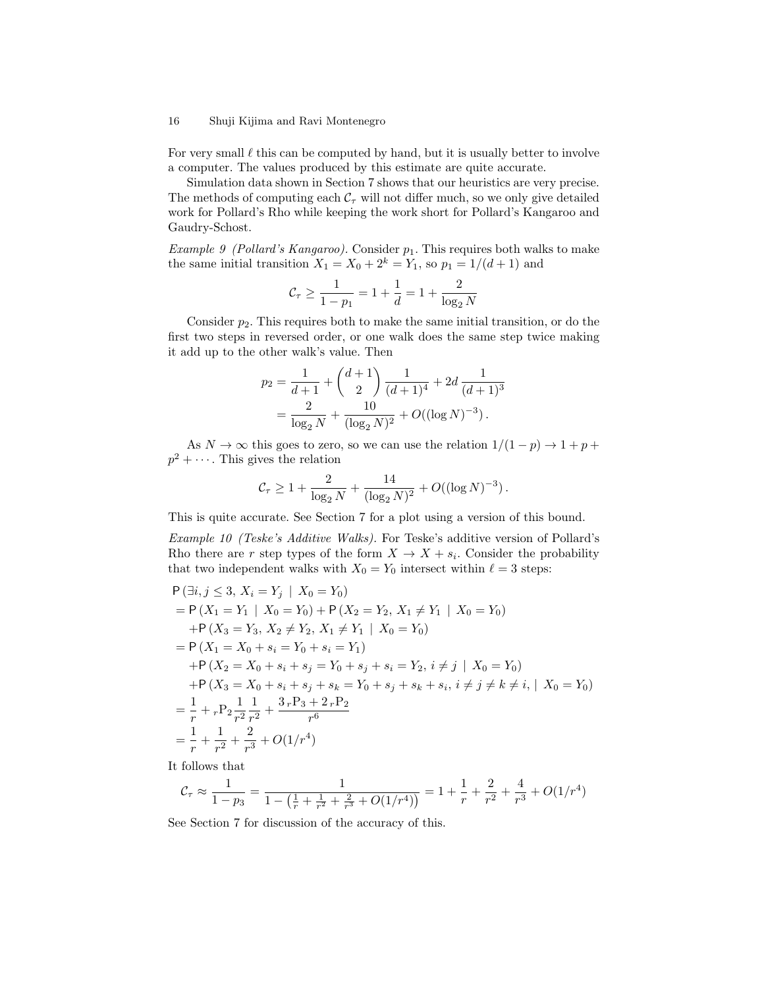For very small  $\ell$  this can be computed by hand, but it is usually better to involve a computer. The values produced by this estimate are quite accurate.

Simulation data shown in Section 7 shows that our heuristics are very precise. The methods of computing each  $C_{\tau}$  will not differ much, so we only give detailed work for Pollard's Rho while keeping the work short for Pollard's Kangaroo and Gaudry-Schost.

Example 9 (Pollard's Kangaroo). Consider  $p_1$ . This requires both walks to make the same initial transition  $X_1 = X_0 + 2^k = Y_1$ , so  $p_1 = 1/(d+1)$  and

$$
\mathcal{C}_\tau \geq \frac{1}{1-p_1} = 1 + \frac{1}{d} = 1 + \frac{2}{\log_2 N}
$$

Consider  $p_2$ . This requires both to make the same initial transition, or do the first two steps in reversed order, or one walk does the same step twice making it add up to the other walk's value. Then

$$
p_2 = \frac{1}{d+1} + {d+1 \choose 2} \frac{1}{(d+1)^4} + 2d \frac{1}{(d+1)^3}
$$
  
= 
$$
\frac{2}{\log_2 N} + \frac{10}{(\log_2 N)^2} + O((\log N)^{-3}).
$$

As  $N \to \infty$  this goes to zero, so we can use the relation  $1/(1-p) \to 1+p+p$  $p^2 + \cdots$ . This gives the relation

$$
C_{\tau} \ge 1 + \frac{2}{\log_2 N} + \frac{14}{(\log_2 N)^2} + O((\log N)^{-3}).
$$

This is quite accurate. See Section 7 for a plot using a version of this bound.

Example 10 (Teske's Additive Walks). For Teske's additive version of Pollard's Rho there are r step types of the form  $X \to X + s_i$ . Consider the probability that two independent walks with  $X_0 = Y_0$  intersect within  $\ell = 3$  steps:

$$
P(\exists i, j \le 3, X_i = Y_j | X_0 = Y_0)
$$
  
=  $P(X_1 = Y_1 | X_0 = Y_0) + P(X_2 = Y_2, X_1 \ne Y_1 | X_0 = Y_0)$   
+  $P(X_3 = Y_3, X_2 \ne Y_2, X_1 \ne Y_1 | X_0 = Y_0)$   
=  $P(X_1 = X_0 + s_i = Y_0 + s_i = Y_1)$   
+  $P(X_2 = X_0 + s_i + s_j = Y_0 + s_j + s_i = Y_2, i \ne j | X_0 = Y_0)$   
+  $P(X_3 = X_0 + s_i + s_j + s_k = Y_0 + s_j + s_k + s_i, i \ne j \ne k \ne i, | X_0 = Y_0)$   
=  $\frac{1}{r} + \frac{1}{r^2} + \frac{1}{r^2} + \frac{3}{r^3} + O(1/r^4)$ 

It follows that

$$
\mathcal{C}_{\tau} \approx \frac{1}{1 - p_3} = \frac{1}{1 - \left(\frac{1}{r} + \frac{1}{r^2} + \frac{2}{r^3} + O(1/r^4)\right)} = 1 + \frac{1}{r} + \frac{2}{r^2} + \frac{4}{r^3} + O(1/r^4)
$$

See Section 7 for discussion of the accuracy of this.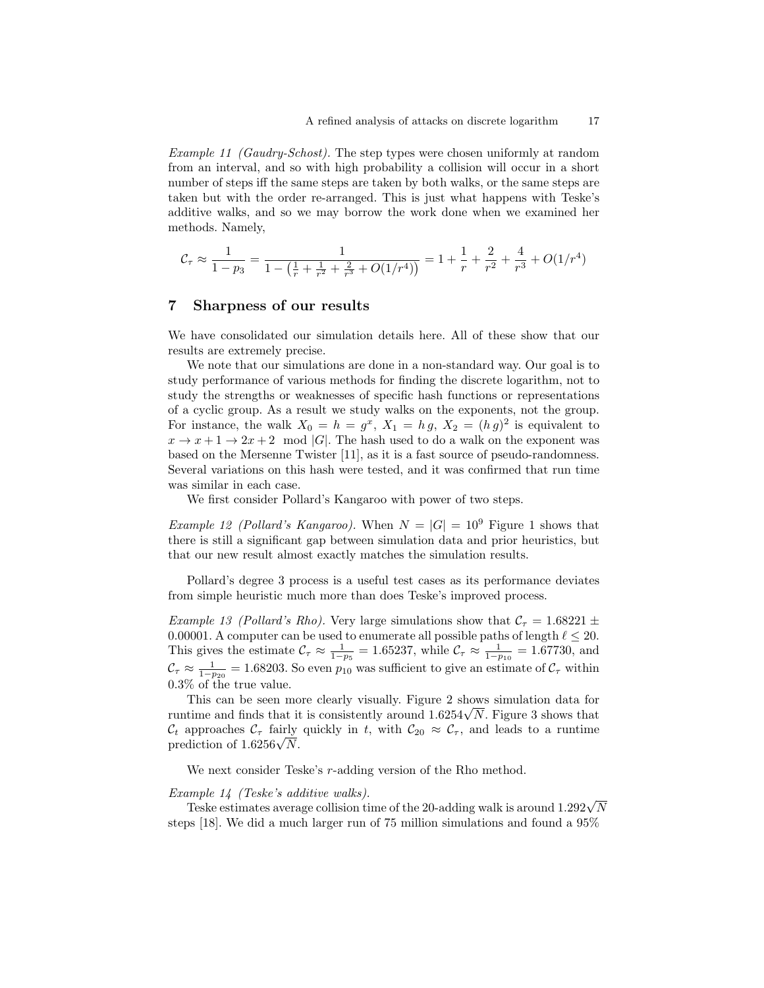Example 11 (Gaudry-Schost). The step types were chosen uniformly at random from an interval, and so with high probability a collision will occur in a short number of steps iff the same steps are taken by both walks, or the same steps are taken but with the order re-arranged. This is just what happens with Teske's additive walks, and so we may borrow the work done when we examined her methods. Namely,

$$
\mathcal{C}_{\tau} \approx \frac{1}{1-p_3} = \frac{1}{1 - \left(\frac{1}{r} + \frac{1}{r^2} + \frac{2}{r^3} + O(1/r^4)\right)} = 1 + \frac{1}{r} + \frac{2}{r^2} + \frac{4}{r^3} + O(1/r^4)
$$

### 7 Sharpness of our results

We have consolidated our simulation details here. All of these show that our results are extremely precise.

We note that our simulations are done in a non-standard way. Our goal is to study performance of various methods for finding the discrete logarithm, not to study the strengths or weaknesses of specific hash functions or representations of a cyclic group. As a result we study walks on the exponents, not the group. For instance, the walk  $X_0 = h = g^x$ ,  $X_1 = hg$ ,  $X_2 = (hg)^2$  is equivalent to  $x \to x + 1 \to 2x + 2 \mod |G|$ . The hash used to do a walk on the exponent was based on the Mersenne Twister [11], as it is a fast source of pseudo-randomness. Several variations on this hash were tested, and it was confirmed that run time was similar in each case.

We first consider Pollard's Kangaroo with power of two steps.

*Example 12 (Pollard's Kangaroo)*. When  $N = |G| = 10^9$  Figure 1 shows that there is still a significant gap between simulation data and prior heuristics, but that our new result almost exactly matches the simulation results.

Pollard's degree 3 process is a useful test cases as its performance deviates from simple heuristic much more than does Teske's improved process.

Example 13 (Pollard's Rho). Very large simulations show that  $C<sub>\tau</sub> = 1.68221 \pm$ 0.00001. A computer can be used to enumerate all possible paths of length  $\ell \leq 20$ . This gives the estimate  $\mathcal{C}_{\tau} \approx \frac{1}{1-p_5} = 1.65237$ , while  $\mathcal{C}_{\tau} \approx \frac{1}{1-p_{10}} = 1.67730$ , and  $\mathcal{C}_{\tau} \approx \frac{1}{1-p_{20}} = 1.68203$ . So even  $p_{10}$  was sufficient to give an estimate of  $\mathcal{C}_{\tau}$  within 0.3% of the true value.

This can be seen more clearly visually. Figure 2 shows simulation data for This can be seen more clearly visually. Figure 2 shows simulation data for runtime and finds that it is consistently around  $1.6254\sqrt{N}$ . Figure 3 shows that  $\mathcal{C}_t$  approaches  $\mathcal{C}_\tau$  fairly quickly in t, with  $\mathcal{C}_{20} \approx \mathcal{C}_\tau$ , and leads to a runtime  $\mathcal{L}_t$  approacnes  $\mathcal{L}_\tau$  rairly<br>prediction of 1.6256 $\sqrt{N}$ .

We next consider Teske's r-adding version of the Rho method.

#### Example 14 (Teske's additive walks).

mple 14 (1eske's additive walks).<br>Teske estimates average collision time of the 20-adding walk is around 1.292√N steps [18]. We did a much larger run of 75 million simulations and found a 95%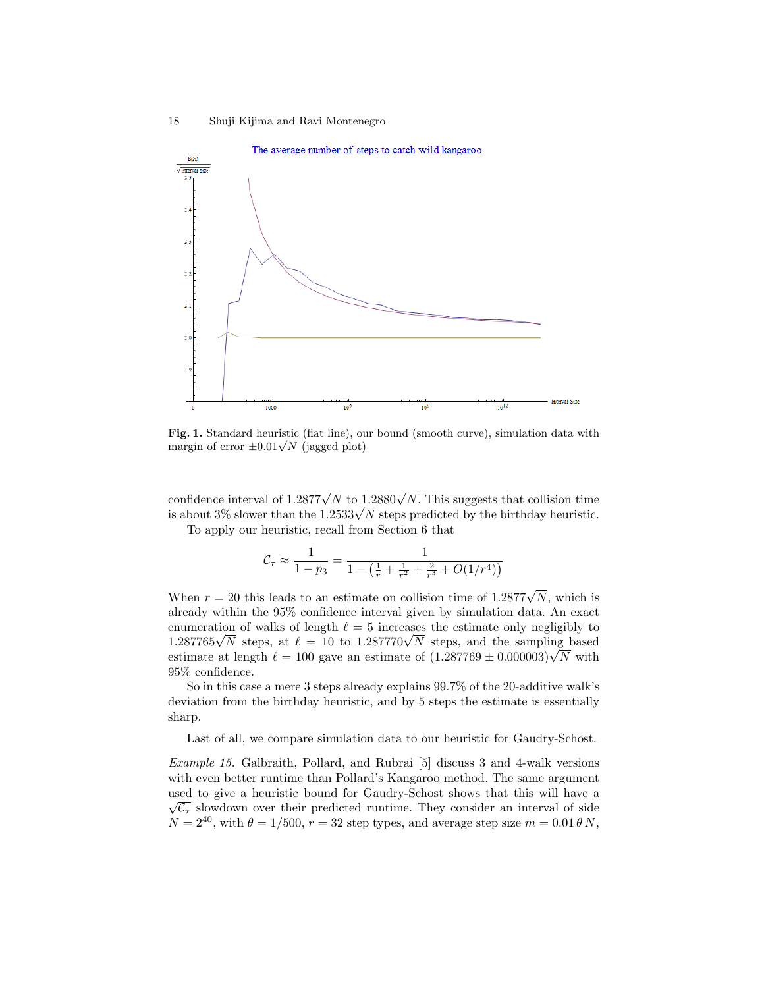

Fig. 1. Standard heuristic (flat line), our bound (smooth curve), simulation data with **Fig. 1.** Standard neuristic (nat line), of<br>margin of error  $\pm 0.01 \sqrt{N}$  (jagged plot)

confidence interval of 1.2877 $\sqrt{N}$  to 1.2880 $\sqrt{N}$ . This suggests that collision time confidence interval of 1.2877 $\sqrt{N}$  to 1.2880 $\sqrt{N}$ . I his suggests that collision time<br>is about 3% slower than the 1.2533 $\sqrt{N}$  steps predicted by the birthday heuristic.

To apply our heuristic, recall from Section 6 that

$$
\mathcal{C}_{\tau} \approx \frac{1}{1 - p_3} = \frac{1}{1 - \left(\frac{1}{r} + \frac{1}{r^2} + \frac{2}{r^3} + O(1/r^4)\right)}
$$

When  $r = 20$  this leads to an estimate on collision time of 1.2877 $\sqrt{N}$ , which is already within the 95% confidence interval given by simulation data. An exact enumeration of walks of length  $\ell = 5$  increases the estimate only negligibly to enumeration of walks of length  $\ell = 5$  increases the estimate only negligibly to  $1.287765\sqrt{N}$  steps, at  $\ell = 10$  to  $1.287770\sqrt{N}$  steps, and the sampling based 1.287769 γ/V steps, at  $\ell = 10$  to 1.287770 steps, and the sampling based estimate at length  $\ell = 100$  gave an estimate of  $(1.287769 \pm 0.000003)\sqrt{N}$  with 95% confidence.

So in this case a mere 3 steps already explains 99.7% of the 20-additive walk's deviation from the birthday heuristic, and by 5 steps the estimate is essentially sharp.

Last of all, we compare simulation data to our heuristic for Gaudry-Schost.

Example 15. Galbraith, Pollard, and Rubrai [5] discuss 3 and 4-walk versions with even better runtime than Pollard's Kangaroo method. The same argument used to give a heuristic bound for Gaudry-Schost shows that this will have a  $\sqrt{\mathcal{C}_{\tau}}$  slowdown over their predicted runtime. They consider an interval of side  $N = 2^{40}$ , with  $\theta = 1/500$ ,  $r = 32$  step types, and average step size  $m = 0.01 \theta N$ ,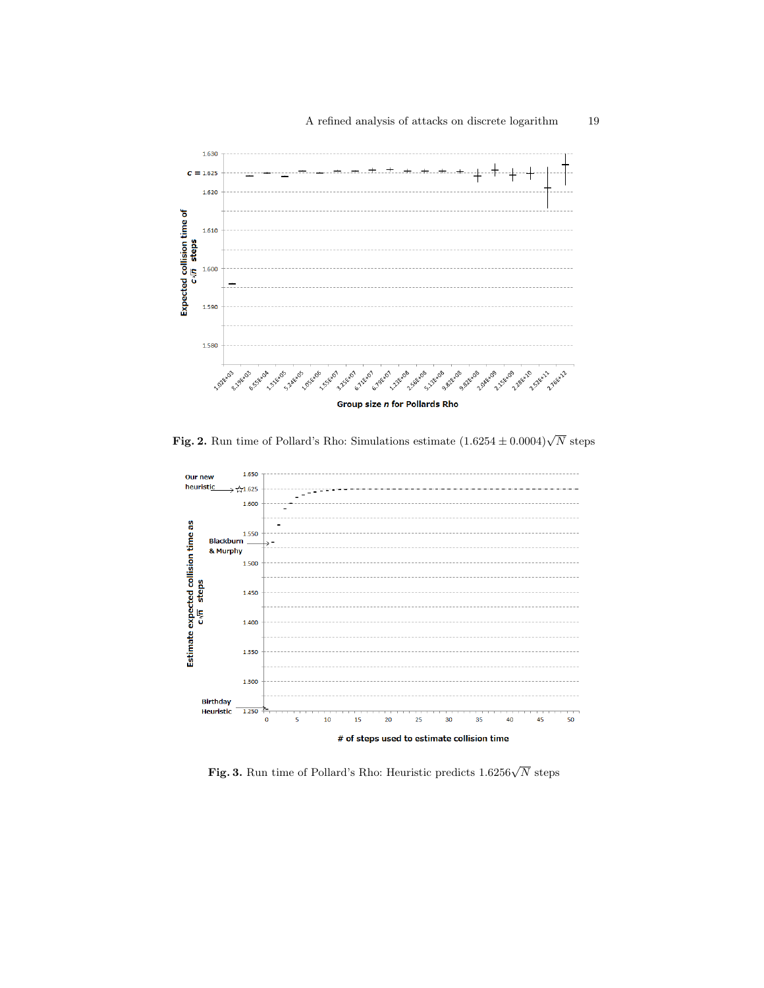

**Fig. 2.** Run time of Pollard's Rho: Simulations estimate  $(1.6254 \pm 0.0004)\sqrt{N}$  steps



Fig. 3. Run time of Pollard's Rho: Heuristic predicts 1.6256 $\sqrt{N}$  steps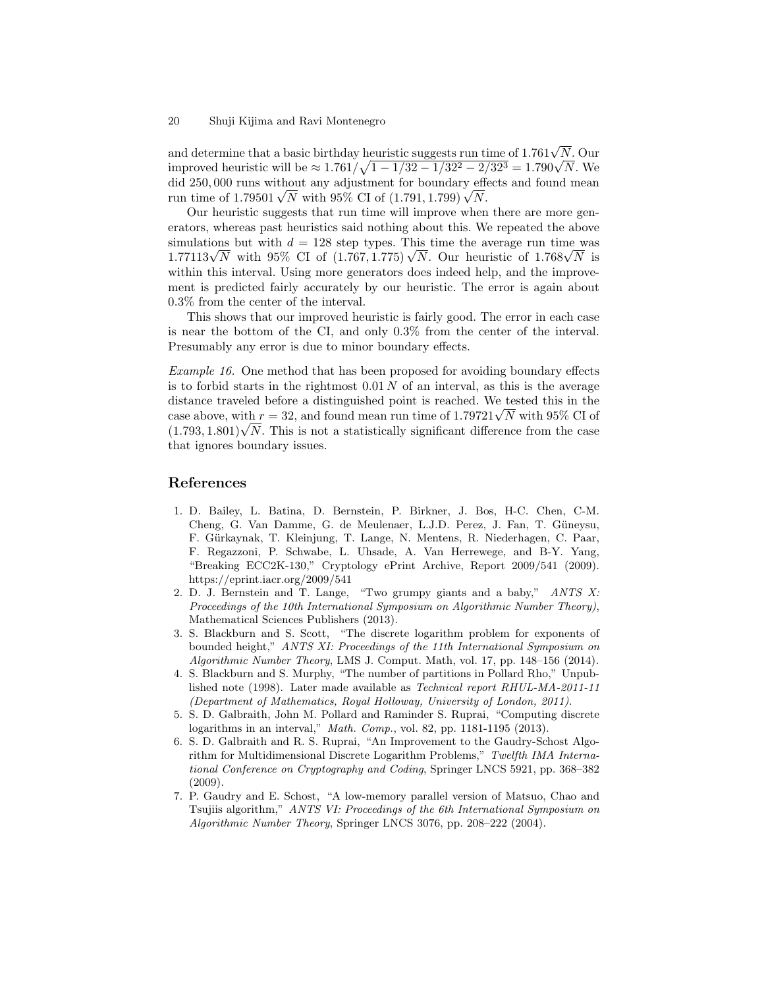and determine that a basic birthday heuristic suggests run time of 1.761 $\sqrt{N}$ . Our and determine that a basic birthday heuristic suggests run time of 1.761 $\sqrt{N}$ . Our improved heuristic will be  $\approx 1.761/\sqrt{1-1/32-1/32^2-2/32^3}=1.790\sqrt{N}$ . We did 250, 000 runs without any adjustment for boundary effects and found mean and 250,000 runs without any adjustment for boundary efficient time of  $1.79501\sqrt{N}$  with 95% CI of  $(1.791, 1.799)\sqrt{N}$ .

Our heuristic suggests that run time will improve when there are more generators, whereas past heuristics said nothing about this. We repeated the above simulations but with  $d = 128$  step types. This time the average run time was simulations but with  $a = 128$  step types. This time the average run time was  $1.77113\sqrt{N}$  with 95% CI of  $(1.767, 1.775)\sqrt{N}$ . Our heuristic of  $1.768\sqrt{N}$  is within this interval. Using more generators does indeed help, and the improvement is predicted fairly accurately by our heuristic. The error is again about 0.3% from the center of the interval.

This shows that our improved heuristic is fairly good. The error in each case is near the bottom of the CI, and only 0.3% from the center of the interval. Presumably any error is due to minor boundary effects.

Example 16. One method that has been proposed for avoiding boundary effects is to forbid starts in the rightmost  $0.01 N$  of an interval, as this is the average distance traveled before a distinguished point is reached. We tested this in the distance traveled before a distinguished point is reached. We tested this in the case above, with  $r = 32$ , and found mean run time of 1.79721 $\sqrt{N}$  with 95% CI of case above, with  $r = 32$ , and found mean run time of 1.79721 $\sqrt{N}$  with 95% CI of  $(1.793, 1.801)\sqrt{N}$ . This is not a statistically significant difference from the case that ignores boundary issues.

## References

- 1. D. Bailey, L. Batina, D. Bernstein, P. Birkner, J. Bos, H-C. Chen, C-M. Cheng, G. Van Damme, G. de Meulenaer, L.J.D. Perez, J. Fan, T. Güneysu, F. G¨urkaynak, T. Kleinjung, T. Lange, N. Mentens, R. Niederhagen, C. Paar, F. Regazzoni, P. Schwabe, L. Uhsade, A. Van Herrewege, and B-Y. Yang, "Breaking ECC2K-130," Cryptology ePrint Archive, Report 2009/541 (2009). https://eprint.iacr.org/2009/541
- 2. D. J. Bernstein and T. Lange, "Two grumpy giants and a baby," ANTS X: Proceedings of the 10th International Symposium on Algorithmic Number Theory), Mathematical Sciences Publishers (2013).
- 3. S. Blackburn and S. Scott, "The discrete logarithm problem for exponents of bounded height," ANTS XI: Proceedings of the 11th International Symposium on Algorithmic Number Theory, LMS J. Comput. Math, vol. 17, pp. 148–156 (2014).
- 4. S. Blackburn and S. Murphy, "The number of partitions in Pollard Rho," Unpublished note (1998). Later made available as Technical report RHUL-MA-2011-11 (Department of Mathematics, Royal Holloway, University of London, 2011).
- 5. S. D. Galbraith, John M. Pollard and Raminder S. Ruprai, "Computing discrete logarithms in an interval," Math. Comp., vol. 82, pp. 1181-1195 (2013).
- 6. S. D. Galbraith and R. S. Ruprai, "An Improvement to the Gaudry-Schost Algorithm for Multidimensional Discrete Logarithm Problems," Twelfth IMA International Conference on Cryptography and Coding, Springer LNCS 5921, pp. 368–382 (2009).
- 7. P. Gaudry and E. Schost, "A low-memory parallel version of Matsuo, Chao and Tsujiis algorithm," ANTS VI: Proceedings of the 6th International Symposium on Algorithmic Number Theory, Springer LNCS 3076, pp. 208–222 (2004).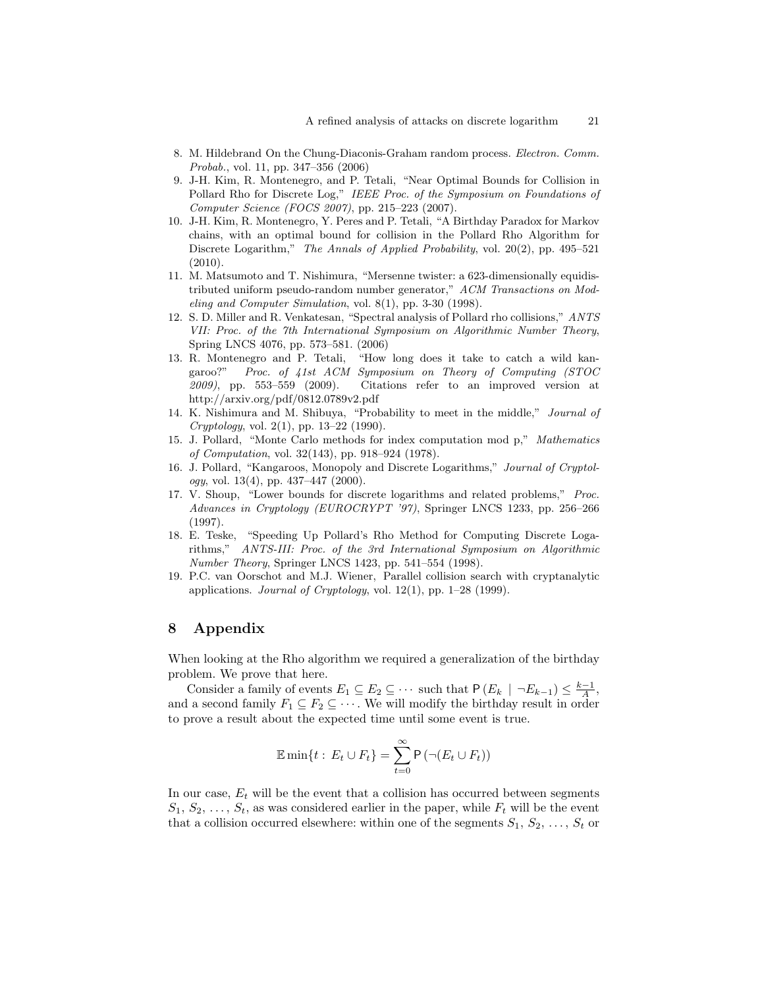- 8. M. Hildebrand On the Chung-Diaconis-Graham random process. Electron. Comm. Probab., vol. 11, pp. 347–356 (2006)
- 9. J-H. Kim, R. Montenegro, and P. Tetali, "Near Optimal Bounds for Collision in Pollard Rho for Discrete Log," IEEE Proc. of the Symposium on Foundations of Computer Science (FOCS 2007), pp. 215–223 (2007).
- 10. J-H. Kim, R. Montenegro, Y. Peres and P. Tetali, "A Birthday Paradox for Markov chains, with an optimal bound for collision in the Pollard Rho Algorithm for Discrete Logarithm," The Annals of Applied Probability, vol. 20(2), pp. 495–521 (2010).
- 11. M. Matsumoto and T. Nishimura, "Mersenne twister: a 623-dimensionally equidistributed uniform pseudo-random number generator," ACM Transactions on Modeling and Computer Simulation, vol. 8(1), pp. 3-30 (1998).
- 12. S. D. Miller and R. Venkatesan, "Spectral analysis of Pollard rho collisions," ANTS VII: Proc. of the 7th International Symposium on Algorithmic Number Theory, Spring LNCS 4076, pp. 573–581. (2006)
- 13. R. Montenegro and P. Tetali, "How long does it take to catch a wild kangaroo?" Proc. of 41st ACM Symposium on Theory of Computing (STOC 2009), pp. 553–559 (2009). Citations refer to an improved version at http://arxiv.org/pdf/0812.0789v2.pdf
- 14. K. Nishimura and M. Shibuya, "Probability to meet in the middle," Journal of  $Cryptology, vol. 2(1), pp. 13–22 (1990).$
- 15. J. Pollard, "Monte Carlo methods for index computation mod p," Mathematics of Computation, vol. 32(143), pp. 918–924 (1978).
- 16. J. Pollard, "Kangaroos, Monopoly and Discrete Logarithms," Journal of Cryptology, vol. 13(4), pp. 437–447 (2000).
- 17. V. Shoup, "Lower bounds for discrete logarithms and related problems," Proc. Advances in Cryptology (EUROCRYPT '97), Springer LNCS 1233, pp. 256–266 (1997).
- 18. E. Teske, "Speeding Up Pollard's Rho Method for Computing Discrete Logarithms," ANTS-III: Proc. of the 3rd International Symposium on Algorithmic Number Theory, Springer LNCS 1423, pp. 541–554 (1998).
- 19. P.C. van Oorschot and M.J. Wiener, Parallel collision search with cryptanalytic applications. Journal of Cryptology, vol. 12(1), pp. 1–28 (1999).

### 8 Appendix

When looking at the Rho algorithm we required a generalization of the birthday problem. We prove that here.

Consider a family of events  $E_1 \subseteq E_2 \subseteq \cdots$  such that  $P(E_k \mid \neg E_{k-1}) \leq \frac{k-1}{A}$ , and a second family  $F_1 \subseteq F_2 \subseteq \cdots$ . We will modify the birthday result in order to prove a result about the expected time until some event is true.

$$
\mathbb{E}\min\{t:\,E_t\cup F_t\}=\sum_{t=0}^{\infty}\mathsf{P}\left(\neg(E_t\cup F_t)\right)
$$

In our case,  $E_t$  will be the event that a collision has occurred between segments  $S_1, S_2, \ldots, S_t$ , as was considered earlier in the paper, while  $F_t$  will be the event that a collision occurred elsewhere: within one of the segments  $S_1, S_2, \ldots, S_t$  or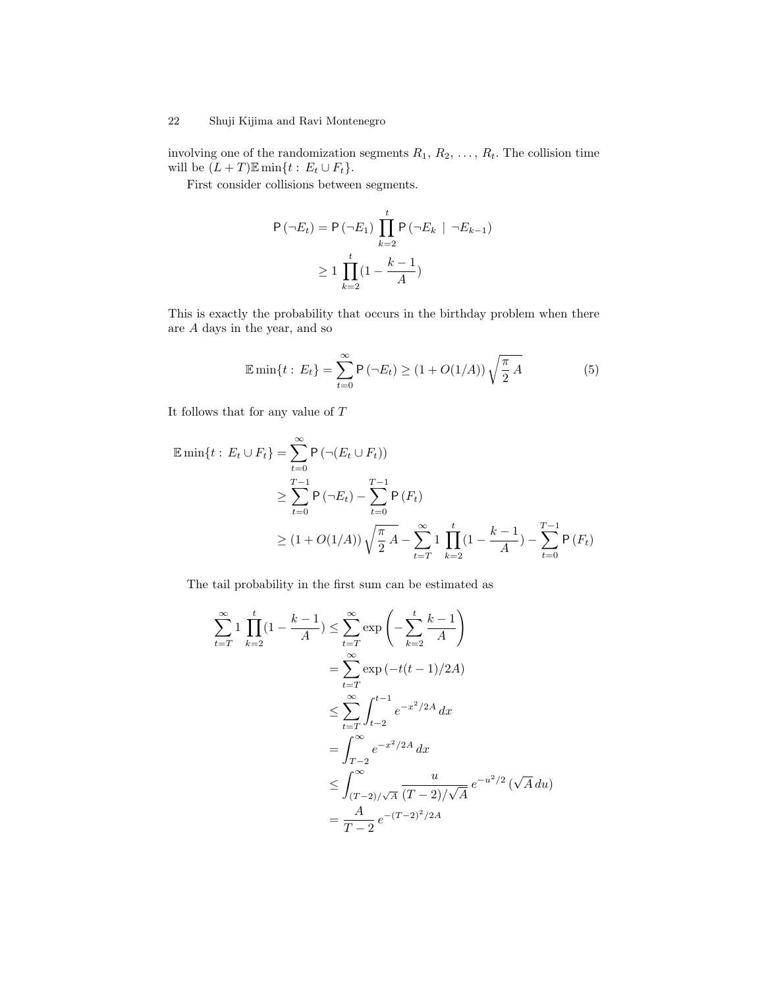involving one of the randomization segments  $R_1, R_2, \ldots, R_t$ . The collision time will be  $(L + T)\mathbb{E} \min\{t : E_t \cup F_t\}.$ 

First consider collisions between segments.

$$
P(\neg E_t) = P(\neg E_1) \prod_{k=2}^{t} P(\neg E_k \mid \neg E_{k-1})
$$
  
\n
$$
\geq 1 \prod_{k=2}^{t} (1 - \frac{k-1}{A})
$$

This is exactly the probability that occurs in the birthday problem when there are A days in the year, and so

$$
\mathbb{E}\min\{t : E_t\} = \sum_{t=0}^{\infty} P(-E_t) \ge (1 + O(1/A)) \sqrt{\frac{\pi}{2} A}
$$
 (5)

It follows that for any value of  $\cal T$ 

$$
\mathbb{E} \min\{t : E_t \cup F_t\} = \sum_{t=0}^{\infty} \mathsf{P}\left(\neg(E_t \cup F_t)\right)
$$
  
\n
$$
\geq \sum_{t=0}^{T-1} \mathsf{P}\left(\neg E_t\right) - \sum_{t=0}^{T-1} \mathsf{P}\left(F_t\right)
$$
  
\n
$$
\geq (1 + O(1/A)) \sqrt{\frac{\pi}{2} A} - \sum_{t=T}^{\infty} \frac{1}{k} \prod_{k=2}^{t} (1 - \frac{k-1}{A}) - \sum_{t=0}^{T-1} \mathsf{P}\left(F_t\right)
$$

The tail probability in the first sum can be estimated as

$$
\sum_{t=T}^{\infty} 1 \prod_{k=2}^{t} (1 - \frac{k-1}{A}) \le \sum_{t=T}^{\infty} \exp\left(-\sum_{k=2}^{t} \frac{k-1}{A}\right)
$$
  
= 
$$
\sum_{t=T}^{\infty} \exp(-t(t-1)/2A)
$$
  

$$
\le \sum_{t=T}^{\infty} \int_{t-2}^{t-1} e^{-x^2/2A} dx
$$
  
= 
$$
\int_{T-2}^{\infty} e^{-x^2/2A} dx
$$
  

$$
\le \int_{(T-2)/\sqrt{A}}^{\infty} \frac{u}{(T-2)/\sqrt{A}} e^{-u^2/2} (\sqrt{A} du)
$$
  
= 
$$
\frac{A}{T-2} e^{-(T-2)^2/2A}
$$